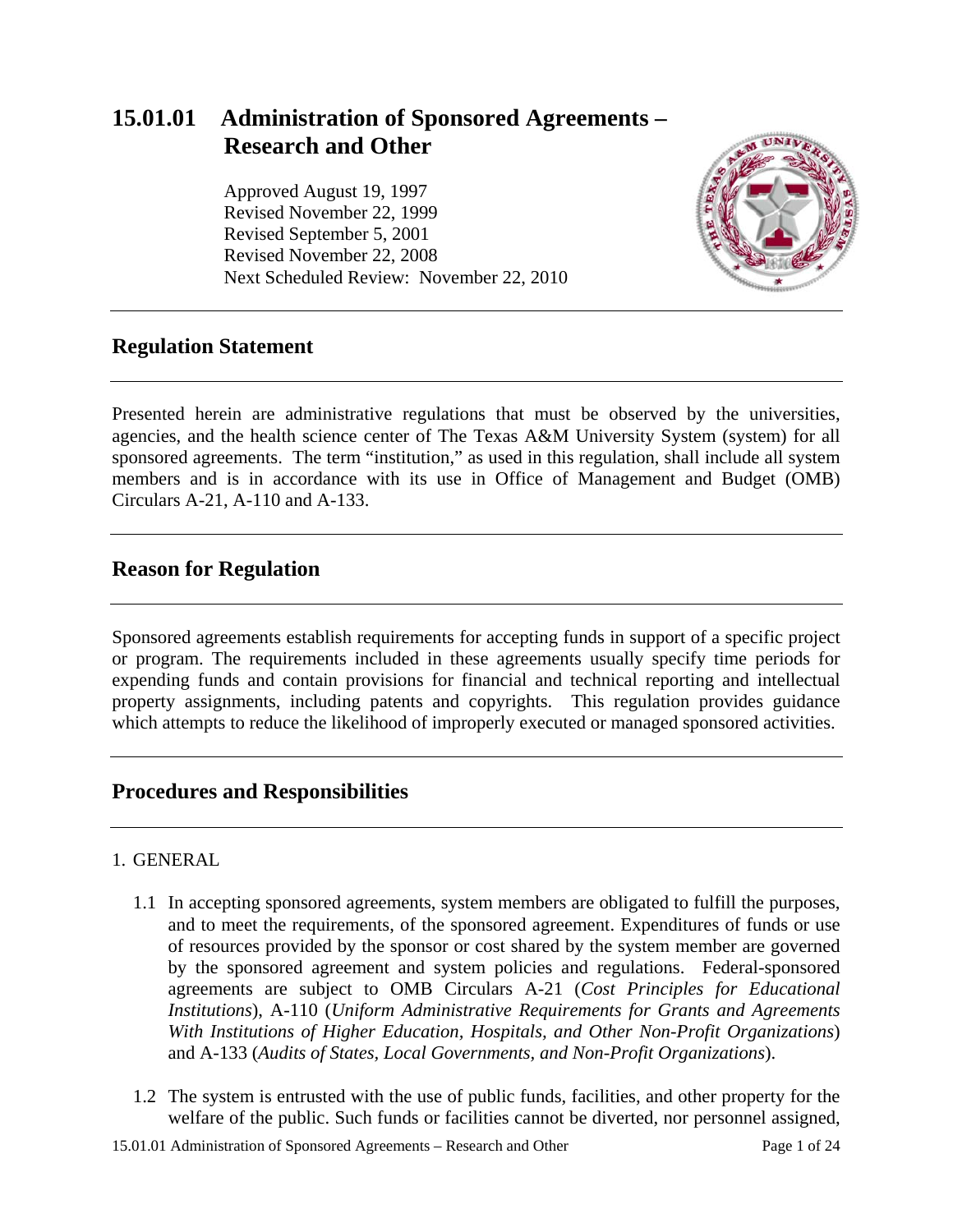# **15.01.01 Administration of Sponsored Agreements – Research and Other**

Approved August 19, 1997 Revised November 22, 1999 Revised September 5, 2001 Revised November 22, 2008 Next Scheduled Review: November 22, 2010



# **Regulation Statement**

Presented herein are administrative regulations that must be observed by the universities, agencies, and the health science center of The Texas A&M University System (system) for all sponsored agreements. The term "institution," as used in this regulation, shall include all system members and is in accordance with its use in Office of Management and Budget (OMB) Circulars A-21, A-110 and A-133.

# **Reason for Regulation**

Sponsored agreements establish requirements for accepting funds in support of a specific project or program. The requirements included in these agreements usually specify time periods for expending funds and contain provisions for financial and technical reporting and intellectual property assignments, including patents and copyrights. This regulation provides guidance which attempts to reduce the likelihood of improperly executed or managed sponsored activities.

# **Procedures and Responsibilities**

#### 1. GENERAL

- 1.1 In accepting sponsored agreements, system members are obligated to fulfill the purposes, and to meet the requirements, of the sponsored agreement. Expenditures of funds or use of resources provided by the sponsor or cost shared by the system member are governed by the sponsored agreement and system policies and regulations. Federal-sponsored agreements are subject to OMB Circulars A-21 (*Cost Principles for Educational Institutions*), A-110 (*Uniform Administrative Requirements for Grants and Agreements With Institutions of Higher Education, Hospitals, and Other Non-Profit Organizations*) and A-133 (*Audits of States, Local Governments, and Non-Profit Organizations*).
- 1.2 The system is entrusted with the use of public funds, facilities, and other property for the welfare of the public. Such funds or facilities cannot be diverted, nor personnel assigned,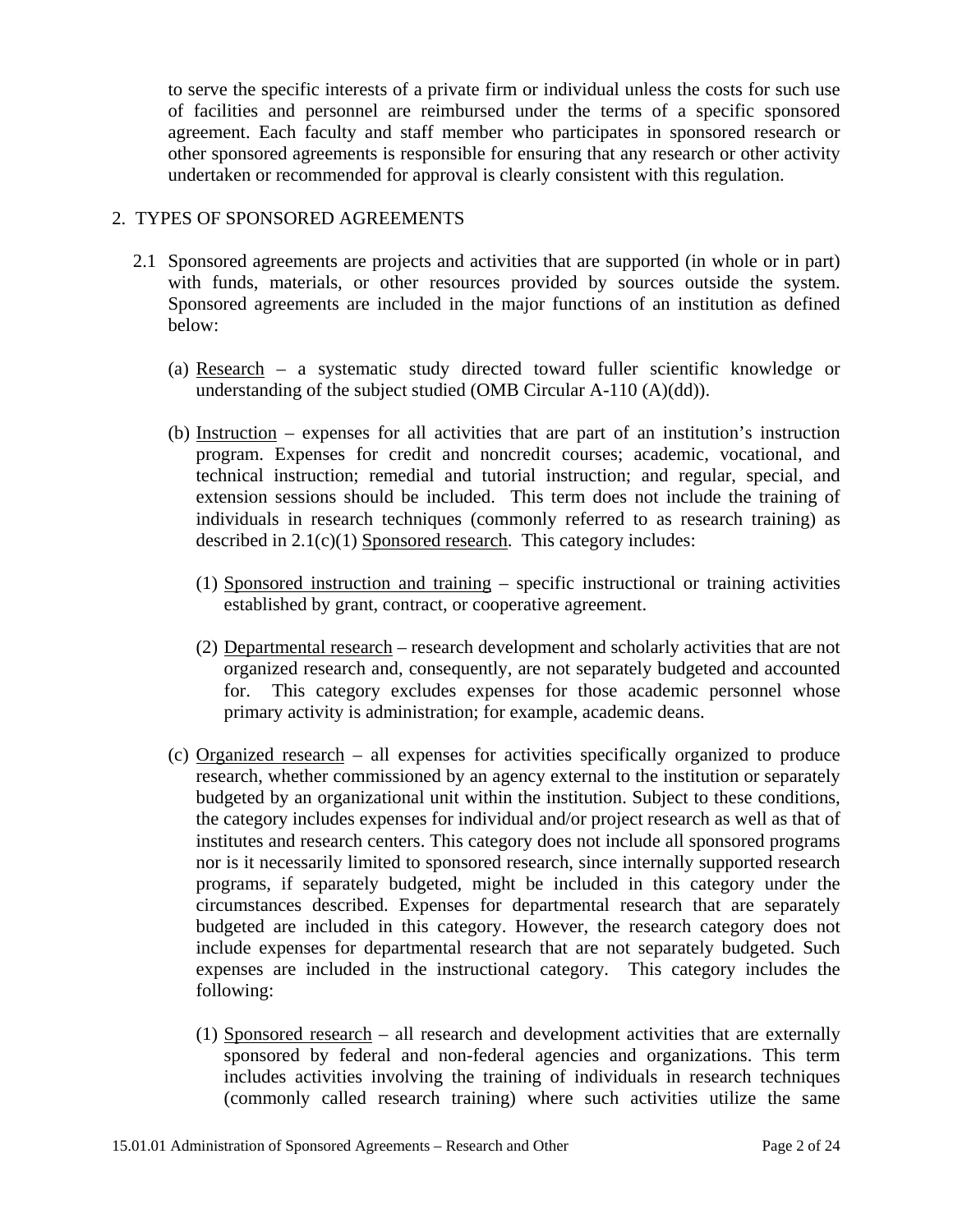to serve the specific interests of a private firm or individual unless the costs for such use of facilities and personnel are reimbursed under the terms of a specific sponsored agreement. Each faculty and staff member who participates in sponsored research or other sponsored agreements is responsible for ensuring that any research or other activity undertaken or recommended for approval is clearly consistent with this regulation.

#### 2. TYPES OF SPONSORED AGREEMENTS

- 2.1 Sponsored agreements are projects and activities that are supported (in whole or in part) with funds, materials, or other resources provided by sources outside the system. Sponsored agreements are included in the major functions of an institution as defined below:
	- (a) Research a systematic study directed toward fuller scientific knowledge or understanding of the subject studied (OMB Circular A-110 (A)(dd)).
	- (b) Instruction expenses for all activities that are part of an institution's instruction program. Expenses for credit and noncredit courses; academic, vocational, and technical instruction; remedial and tutorial instruction; and regular, special, and extension sessions should be included. This term does not include the training of individuals in research techniques (commonly referred to as research training) as described in 2.1(c)(1) Sponsored research. This category includes:
		- (1) Sponsored instruction and training specific instructional or training activities established by grant, contract, or cooperative agreement.
		- (2) Departmental research research development and scholarly activities that are not organized research and, consequently, are not separately budgeted and accounted for. This category excludes expenses for those academic personnel whose primary activity is administration; for example, academic deans.
	- (c) Organized research all expenses for activities specifically organized to produce research, whether commissioned by an agency external to the institution or separately budgeted by an organizational unit within the institution. Subject to these conditions, the category includes expenses for individual and/or project research as well as that of institutes and research centers. This category does not include all sponsored programs nor is it necessarily limited to sponsored research, since internally supported research programs, if separately budgeted, might be included in this category under the circumstances described. Expenses for departmental research that are separately budgeted are included in this category. However, the research category does not include expenses for departmental research that are not separately budgeted. Such expenses are included in the instructional category. This category includes the following:
		- (1) Sponsored research all research and development activities that are externally sponsored by federal and non-federal agencies and organizations. This term includes activities involving the training of individuals in research techniques (commonly called research training) where such activities utilize the same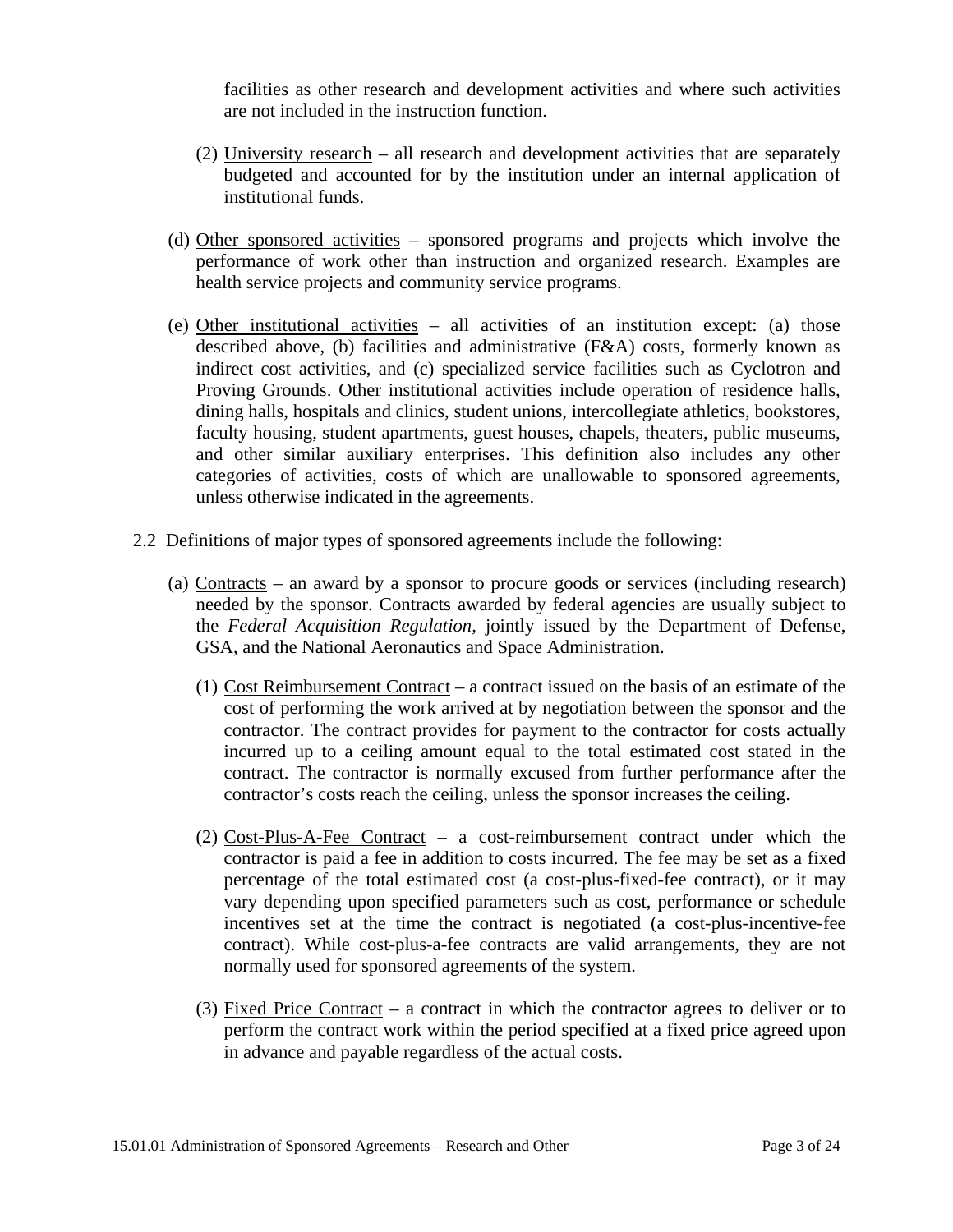facilities as other research and development activities and where such activities are not included in the instruction function.

- (2) University research all research and development activities that are separately budgeted and accounted for by the institution under an internal application of institutional funds.
- (d) Other sponsored activities sponsored programs and projects which involve the performance of work other than instruction and organized research. Examples are health service projects and community service programs.
- (e) Other institutional activities all activities of an institution except: (a) those described above, (b) facilities and administrative (F&A) costs, formerly known as indirect cost activities, and (c) specialized service facilities such as Cyclotron and Proving Grounds. Other institutional activities include operation of residence halls, dining halls, hospitals and clinics, student unions, intercollegiate athletics, bookstores, faculty housing, student apartments, guest houses, chapels, theaters, public museums, and other similar auxiliary enterprises. This definition also includes any other categories of activities, costs of which are unallowable to sponsored agreements, unless otherwise indicated in the agreements.
- 2.2 Definitions of major types of sponsored agreements include the following:
	- (a) Contracts an award by a sponsor to procure goods or services (including research) needed by the sponsor. Contracts awarded by federal agencies are usually subject to the *Federal Acquisition Regulation,* jointly issued by the Department of Defense, GSA, and the National Aeronautics and Space Administration.
		- (1) Cost Reimbursement Contract a contract issued on the basis of an estimate of the cost of performing the work arrived at by negotiation between the sponsor and the contractor. The contract provides for payment to the contractor for costs actually incurred up to a ceiling amount equal to the total estimated cost stated in the contract. The contractor is normally excused from further performance after the contractor's costs reach the ceiling, unless the sponsor increases the ceiling.
		- (2) Cost-Plus-A-Fee Contract a cost-reimbursement contract under which the contractor is paid a fee in addition to costs incurred. The fee may be set as a fixed percentage of the total estimated cost (a cost-plus-fixed-fee contract), or it may vary depending upon specified parameters such as cost, performance or schedule incentives set at the time the contract is negotiated (a cost-plus-incentive-fee contract). While cost-plus-a-fee contracts are valid arrangements, they are not normally used for sponsored agreements of the system.
		- (3) Fixed Price Contract a contract in which the contractor agrees to deliver or to perform the contract work within the period specified at a fixed price agreed upon in advance and payable regardless of the actual costs.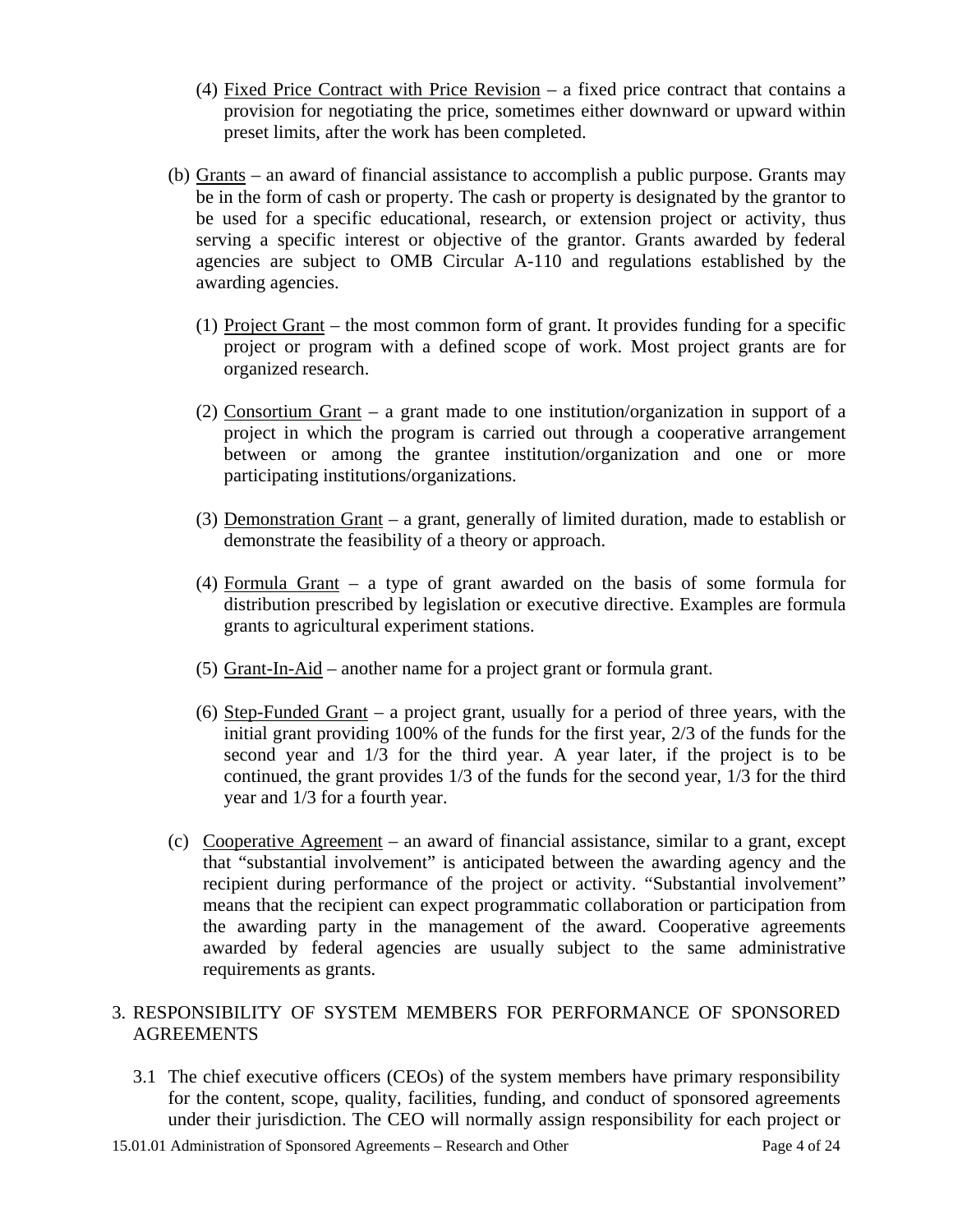- (4) Fixed Price Contract with Price Revision a fixed price contract that contains a provision for negotiating the price, sometimes either downward or upward within preset limits, after the work has been completed.
- (b) Grants an award of financial assistance to accomplish a public purpose. Grants may be in the form of cash or property. The cash or property is designated by the grantor to be used for a specific educational, research, or extension project or activity, thus serving a specific interest or objective of the grantor. Grants awarded by federal agencies are subject to OMB Circular A-110 and regulations established by the awarding agencies.
	- (1) Project Grant the most common form of grant. It provides funding for a specific project or program with a defined scope of work. Most project grants are for organized research.
	- (2) Consortium Grant a grant made to one institution/organization in support of a project in which the program is carried out through a cooperative arrangement between or among the grantee institution/organization and one or more participating institutions/organizations.
	- (3) Demonstration Grant a grant, generally of limited duration, made to establish or demonstrate the feasibility of a theory or approach.
	- (4) Formula Grant a type of grant awarded on the basis of some formula for distribution prescribed by legislation or executive directive. Examples are formula grants to agricultural experiment stations.
	- (5) Grant-In-Aid another name for a project grant or formula grant.
	- (6) Step-Funded Grant a project grant, usually for a period of three years, with the initial grant providing 100% of the funds for the first year, 2/3 of the funds for the second year and 1/3 for the third year. A year later, if the project is to be continued, the grant provides 1/3 of the funds for the second year, 1/3 for the third year and 1/3 for a fourth year.
- (c) Cooperative Agreement an award of financial assistance, similar to a grant, except that "substantial involvement" is anticipated between the awarding agency and the recipient during performance of the project or activity. "Substantial involvement" means that the recipient can expect programmatic collaboration or participation from the awarding party in the management of the award. Cooperative agreements awarded by federal agencies are usually subject to the same administrative requirements as grants.

## 3. RESPONSIBILITY OF SYSTEM MEMBERS FOR PERFORMANCE OF SPONSORED AGREEMENTS

3.1 The chief executive officers (CEOs) of the system members have primary responsibility for the content, scope, quality, facilities, funding, and conduct of sponsored agreements under their jurisdiction. The CEO will normally assign responsibility for each project or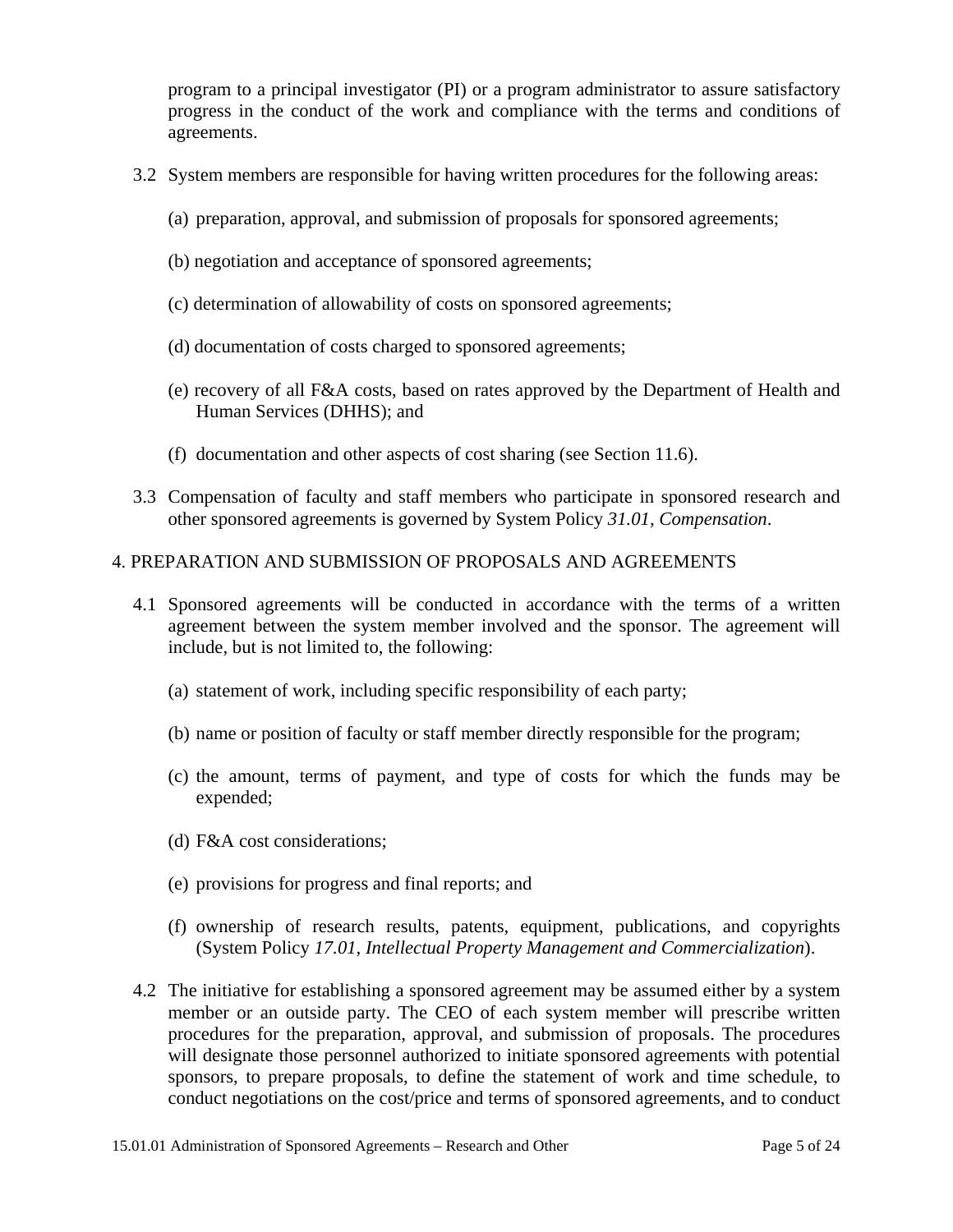program to a principal investigator (PI) or a program administrator to assure satisfactory progress in the conduct of the work and compliance with the terms and conditions of agreements.

- 3.2 System members are responsible for having written procedures for the following areas:
	- (a) preparation, approval, and submission of proposals for sponsored agreements;
	- (b) negotiation and acceptance of sponsored agreements;
	- (c) determination of allowability of costs on sponsored agreements;
	- (d) documentation of costs charged to sponsored agreements;
	- (e) recovery of all F&A costs, based on rates approved by the Department of Health and Human Services (DHHS); and
	- (f) documentation and other aspects of cost sharing (see Section 11.6).
- 3.3 Compensation of faculty and staff members who participate in sponsored research and other sponsored agreements is governed by System Policy *31.01, Compensation*.

## 4. PREPARATION AND SUBMISSION OF PROPOSALS AND AGREEMENTS

- 4.1 Sponsored agreements will be conducted in accordance with the terms of a written agreement between the system member involved and the sponsor. The agreement will include, but is not limited to, the following:
	- (a) statement of work, including specific responsibility of each party;
	- (b) name or position of faculty or staff member directly responsible for the program;
	- (c) the amount, terms of payment, and type of costs for which the funds may be expended;
	- (d) F&A cost considerations;
	- (e) provisions for progress and final reports; and
	- (f) ownership of research results, patents, equipment, publications, and copyrights (System Policy *17.01, Intellectual Property Management and Commercialization*).
- 4.2 The initiative for establishing a sponsored agreement may be assumed either by a system member or an outside party. The CEO of each system member will prescribe written procedures for the preparation, approval, and submission of proposals. The procedures will designate those personnel authorized to initiate sponsored agreements with potential sponsors, to prepare proposals, to define the statement of work and time schedule, to conduct negotiations on the cost/price and terms of sponsored agreements, and to conduct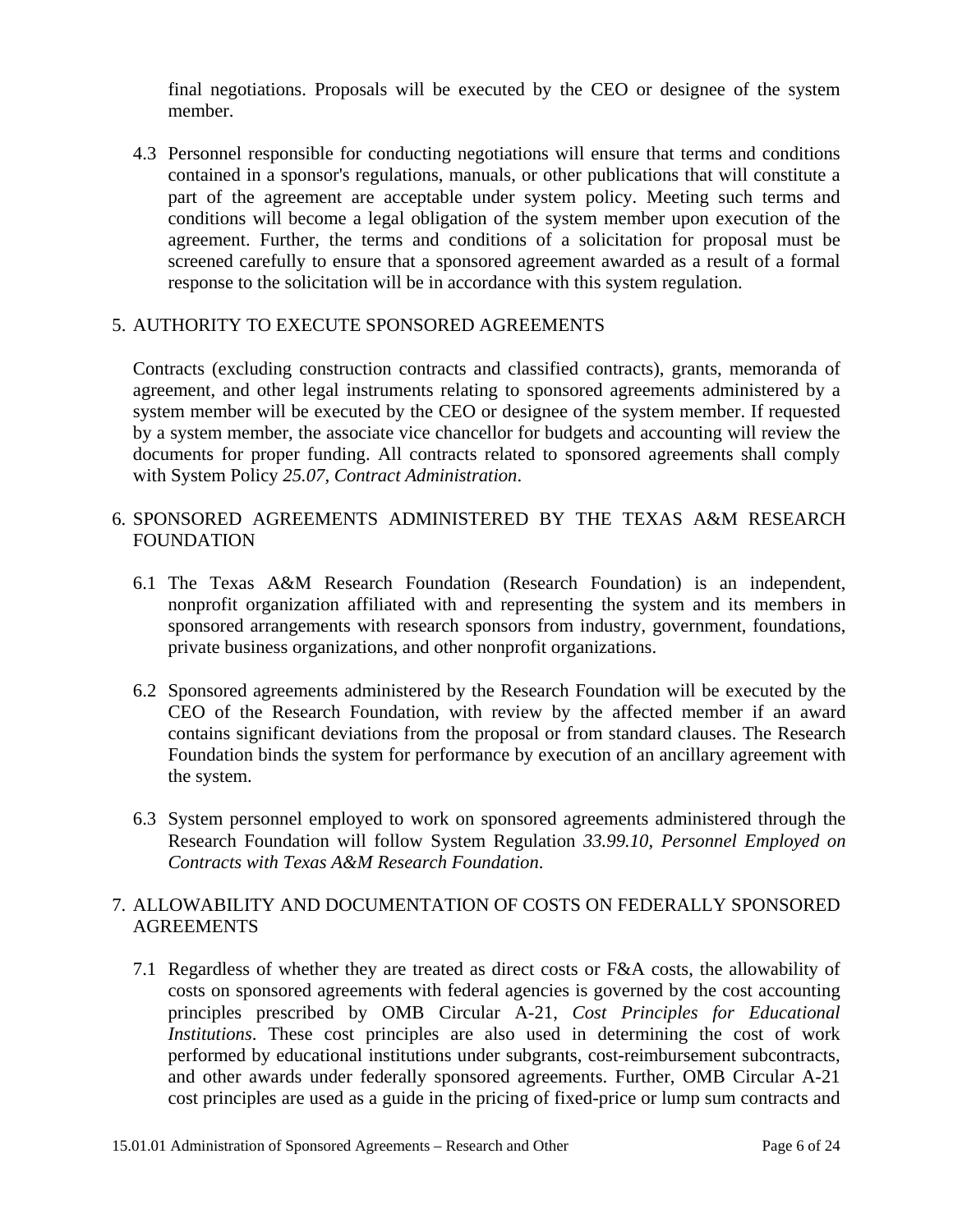final negotiations. Proposals will be executed by the CEO or designee of the system member.

4.3 Personnel responsible for conducting negotiations will ensure that terms and conditions contained in a sponsor's regulations, manuals, or other publications that will constitute a part of the agreement are acceptable under system policy. Meeting such terms and conditions will become a legal obligation of the system member upon execution of the agreement. Further, the terms and conditions of a solicitation for proposal must be screened carefully to ensure that a sponsored agreement awarded as a result of a formal response to the solicitation will be in accordance with this system regulation.

## 5. AUTHORITY TO EXECUTE SPONSORED AGREEMENTS

Contracts (excluding construction contracts and classified contracts), grants, memoranda of agreement, and other legal instruments relating to sponsored agreements administered by a system member will be executed by the CEO or designee of the system member. If requested by a system member, the associate vice chancellor for budgets and accounting will review the documents for proper funding. All contracts related to sponsored agreements shall comply with System Policy *25.07, Contract Administration*.

# 6. SPONSORED AGREEMENTS ADMINISTERED BY THE TEXAS A&M RESEARCH FOUNDATION

- 6.1 The Texas A&M Research Foundation (Research Foundation) is an independent, nonprofit organization affiliated with and representing the system and its members in sponsored arrangements with research sponsors from industry, government, foundations, private business organizations, and other nonprofit organizations.
- 6.2 Sponsored agreements administered by the Research Foundation will be executed by the CEO of the Research Foundation, with review by the affected member if an award contains significant deviations from the proposal or from standard clauses. The Research Foundation binds the system for performance by execution of an ancillary agreement with the system.
- 6.3 System personnel employed to work on sponsored agreements administered through the Research Foundation will follow System Regulation *33.99.10, Personnel Employed on Contracts with Texas A&M Research Foundation*.

## 7. ALLOWABILITY AND DOCUMENTATION OF COSTS ON FEDERALLY SPONSORED **AGREEMENTS**

7.1 Regardless of whether they are treated as direct costs or F&A costs, the allowability of costs on sponsored agreements with federal agencies is governed by the cost accounting principles prescribed by OMB Circular A-21, *Cost Principles for Educational Institutions*. These cost principles are also used in determining the cost of work performed by educational institutions under subgrants, cost-reimbursement subcontracts, and other awards under federally sponsored agreements. Further, OMB Circular A-21 cost principles are used as a guide in the pricing of fixed-price or lump sum contracts and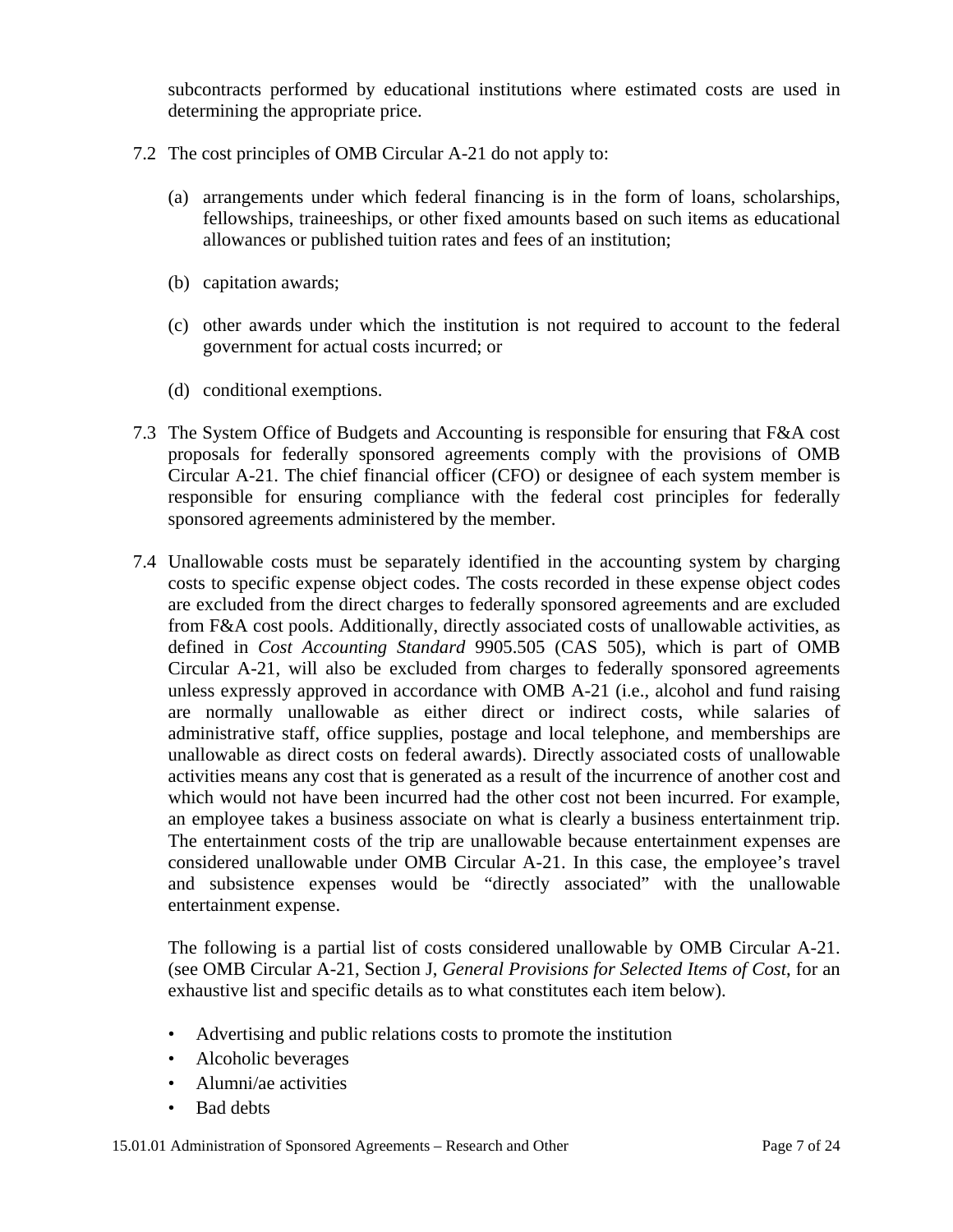subcontracts performed by educational institutions where estimated costs are used in determining the appropriate price.

- 7.2 The cost principles of OMB Circular A-21 do not apply to:
	- (a) arrangements under which federal financing is in the form of loans, scholarships, fellowships, traineeships, or other fixed amounts based on such items as educational allowances or published tuition rates and fees of an institution;
	- (b) capitation awards;
	- (c) other awards under which the institution is not required to account to the federal government for actual costs incurred; or
	- (d) conditional exemptions.
- 7.3 The System Office of Budgets and Accounting is responsible for ensuring that F&A cost proposals for federally sponsored agreements comply with the provisions of OMB Circular A-21. The chief financial officer (CFO) or designee of each system member is responsible for ensuring compliance with the federal cost principles for federally sponsored agreements administered by the member.
- 7.4 Unallowable costs must be separately identified in the accounting system by charging costs to specific expense object codes. The costs recorded in these expense object codes are excluded from the direct charges to federally sponsored agreements and are excluded from F&A cost pools. Additionally, directly associated costs of unallowable activities, as defined in *Cost Accounting Standard* 9905.505 (CAS 505)*,* which is part of OMB Circular A-21, will also be excluded from charges to federally sponsored agreements unless expressly approved in accordance with OMB A-21 (i.e., alcohol and fund raising are normally unallowable as either direct or indirect costs, while salaries of administrative staff, office supplies, postage and local telephone, and memberships are unallowable as direct costs on federal awards). Directly associated costs of unallowable activities means any cost that is generated as a result of the incurrence of another cost and which would not have been incurred had the other cost not been incurred. For example, an employee takes a business associate on what is clearly a business entertainment trip. The entertainment costs of the trip are unallowable because entertainment expenses are considered unallowable under OMB Circular A-21. In this case, the employee's travel and subsistence expenses would be "directly associated" with the unallowable entertainment expense.

The following is a partial list of costs considered unallowable by OMB Circular A-21. (see OMB Circular A-21, Section J, *General Provisions for Selected Items of Cost*, for an exhaustive list and specific details as to what constitutes each item below).

- Advertising and public relations costs to promote the institution
- Alcoholic beverages
- Alumni/ae activities
- Bad debts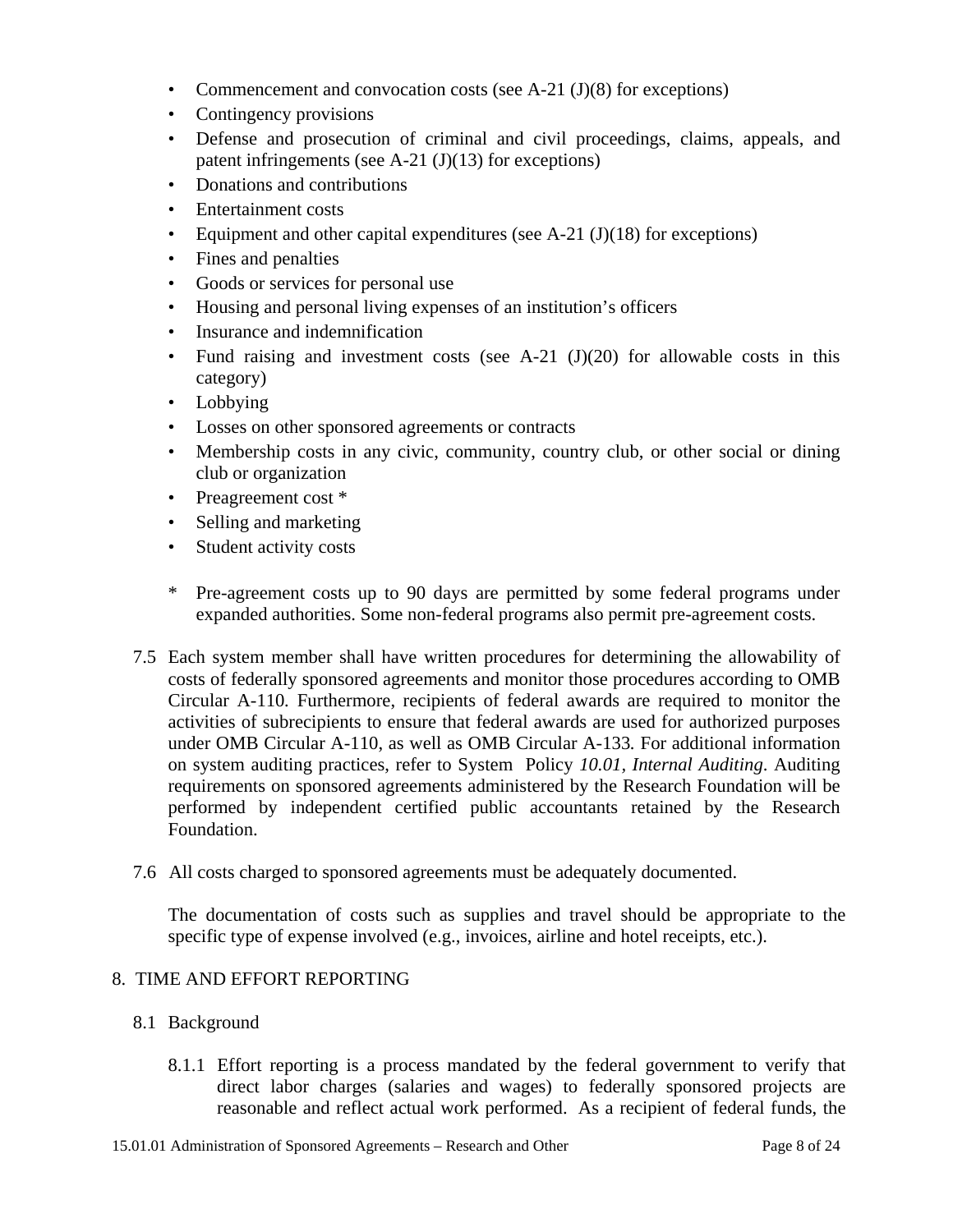- Commencement and convocation costs (see A-21  $(J)(8)$ ) for exceptions)
- Contingency provisions
- Defense and prosecution of criminal and civil proceedings, claims, appeals, and patent infringements (see A-21  $(J)(13)$  for exceptions)
- Donations and contributions
- Entertainment costs
- Equipment and other capital expenditures (see A-21  $(J)(18)$  for exceptions)
- Fines and penalties
- Goods or services for personal use
- Housing and personal living expenses of an institution's officers
- Insurance and indemnification
- Fund raising and investment costs (see A-21  $(J)(20)$  for allowable costs in this category)
- Lobbying
- Losses on other sponsored agreements or contracts
- Membership costs in any civic, community, country club, or other social or dining club or organization
- Preagreement cost  $*$
- Selling and marketing
- Student activity costs
- \* Pre-agreement costs up to 90 days are permitted by some federal programs under expanded authorities. Some non-federal programs also permit pre-agreement costs.
- 7.5 Each system member shall have written procedures for determining the allowability of costs of federally sponsored agreements and monitor those procedures according to OMB Circular A-110*.* Furthermore, recipients of federal awards are required to monitor the activities of subrecipients to ensure that federal awards are used for authorized purposes under OMB Circular A-110, as well as OMB Circular A-133*.* For additional information on system auditing practices, refer to System Policy *10.01, Internal Auditing*. Auditing requirements on sponsored agreements administered by the Research Foundation will be performed by independent certified public accountants retained by the Research Foundation.
- 7.6 All costs charged to sponsored agreements must be adequately documented.

The documentation of costs such as supplies and travel should be appropriate to the specific type of expense involved (e.g., invoices, airline and hotel receipts, etc.).

#### 8. TIME AND EFFORT REPORTING

- 8.1 Background
	- 8.1.1 Effort reporting is a process mandated by the federal government to verify that direct labor charges (salaries and wages) to federally sponsored projects are reasonable and reflect actual work performed. As a recipient of federal funds, the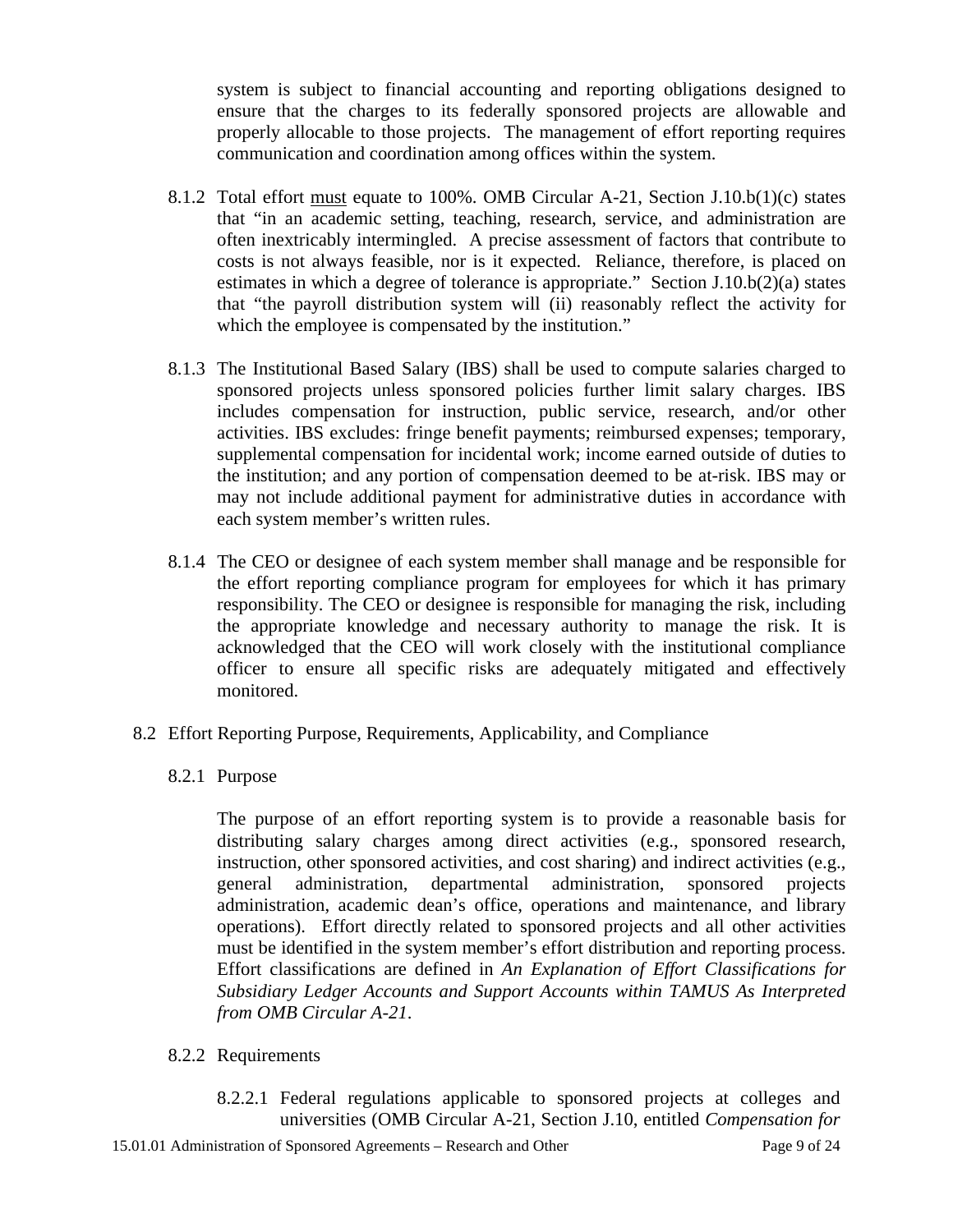system is subject to financial accounting and reporting obligations designed to ensure that the charges to its federally sponsored projects are allowable and properly allocable to those projects. The management of effort reporting requires communication and coordination among offices within the system.

- 8.1.2 Total effort must equate to 100%. OMB Circular A-21, Section J.10.b(1)(c) states that "in an academic setting, teaching, research, service, and administration are often inextricably intermingled. A precise assessment of factors that contribute to costs is not always feasible, nor is it expected. Reliance, therefore, is placed on estimates in which a degree of tolerance is appropriate." Section J.10.b(2)(a) states that "the payroll distribution system will (ii) reasonably reflect the activity for which the employee is compensated by the institution."
- 8.1.3 The Institutional Based Salary (IBS) shall be used to compute salaries charged to sponsored projects unless sponsored policies further limit salary charges. IBS includes compensation for instruction, public service, research, and/or other activities. IBS excludes: fringe benefit payments; reimbursed expenses; temporary, supplemental compensation for incidental work; income earned outside of duties to the institution; and any portion of compensation deemed to be at-risk. IBS may or may not include additional payment for administrative duties in accordance with each system member's written rules.
- 8.1.4 The CEO or designee of each system member shall manage and be responsible for the effort reporting compliance program for employees for which it has primary responsibility. The CEO or designee is responsible for managing the risk, including the appropriate knowledge and necessary authority to manage the risk. It is acknowledged that the CEO will work closely with the institutional compliance officer to ensure all specific risks are adequately mitigated and effectively monitored.
- 8.2 Effort Reporting Purpose, Requirements, Applicability, and Compliance
	- 8.2.1 Purpose

 The purpose of an effort reporting system is to provide a reasonable basis for distributing salary charges among direct activities (e.g., sponsored research, instruction, other sponsored activities, and cost sharing) and indirect activities (e.g., general administration, departmental administration, sponsored projects administration, academic dean's office, operations and maintenance, and library operations). Effort directly related to sponsored projects and all other activities must be identified in the system member's effort distribution and reporting process. Effort classifications are defined in *An Explanation of Effort Classifications for Subsidiary Ledger Accounts and Support Accounts within TAMUS As Interpreted from OMB Circular A-21*.

- 8.2.2 Requirements
	- 8.2.2.1 Federal regulations applicable to sponsored projects at colleges and universities ([OMB Circular A-21](http://www.whitehouse.gov/omb/circulars/a021/a21_2004.html), Section J.10, entitled *Compensation for*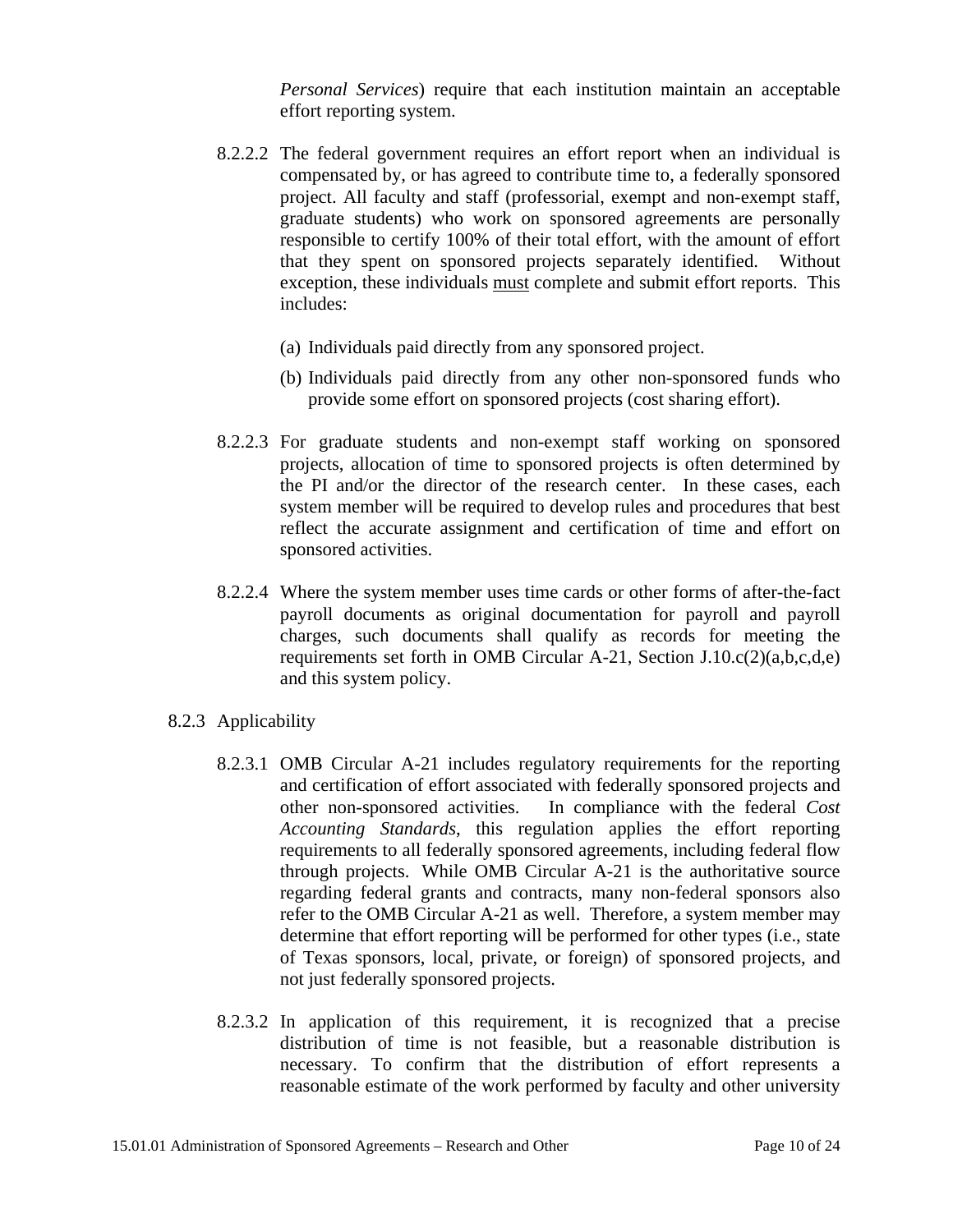*Personal Services*) require that each institution maintain an acceptable effort reporting system.

- 8.2.2.2 The federal government requires an effort report when an individual is compensated by, or has agreed to contribute time to, a federally sponsored project. All faculty and staff (professorial, exempt and non-exempt staff, graduate students) who work on sponsored agreements are personally responsible to certify 100% of their total effort, with the amount of effort that they spent on sponsored projects separately identified. Without exception, these individuals must complete and submit effort reports. This includes:
	- (a) Individuals paid directly from any sponsored project.
	- (b) Individuals paid directly from any other non-sponsored funds who provide some effort on sponsored projects (cost sharing effort).
- 8.2.2.3 For graduate students and non-exempt staff working on sponsored projects, allocation of time to sponsored projects is often determined by the PI and/or the director of the research center. In these cases, each system member will be required to develop rules and procedures that best reflect the accurate assignment and certification of time and effort on sponsored activities.
- 8.2.2.4 Where the system member uses time cards or other forms of after-the-fact payroll documents as original documentation for payroll and payroll charges, such documents shall qualify as records for meeting the requirements set forth in OMB Circular A-21, Section J.10.c(2)(a,b,c,d,e) and this system policy.
- 8.2.3 Applicability
	- 8.2.3.1 OMB Circular A-21 includes regulatory requirements for the reporting and certification of effort associated with federally sponsored projects and other non-sponsored activities. In compliance with the federal *Cost Accounting Standards*, this regulation applies the effort reporting requirements to all federally sponsored agreements, including federal flow through projects. While OMB Circular A-21 is the authoritative source regarding federal grants and contracts, many non-federal sponsors also refer to the OMB Circular A-21 as well. Therefore, a system member may determine that effort reporting will be performed for other types (i.e., state of Texas sponsors, local, private, or foreign) of sponsored projects, and not just federally sponsored projects.
	- 8.2.3.2 In application of this requirement, it is recognized that a precise distribution of time is not feasible, but a reasonable distribution is necessary. To confirm that the distribution of effort represents a reasonable estimate of the work performed by faculty and other university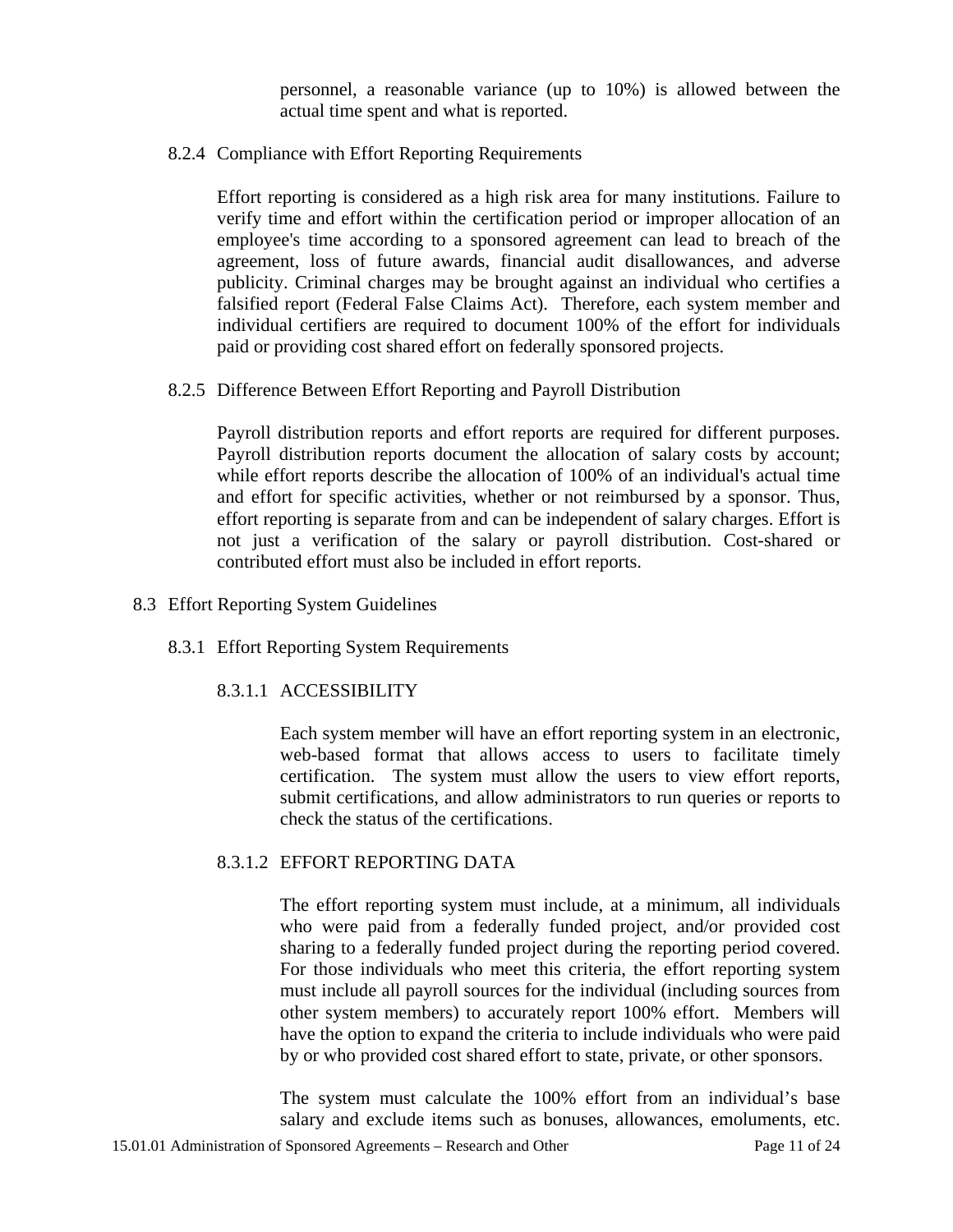personnel, a reasonable variance (up to 10%) is allowed between the actual time spent and what is reported.

8.2.4 Compliance with Effort Reporting Requirements

Effort reporting is considered as a high risk area for many institutions. Failure to verify time and effort within the certification period or improper allocation of an employee's time according to a sponsored agreement can lead to breach of the agreement, loss of future awards, financial audit disallowances, and adverse publicity. Criminal charges may be brought against an individual who certifies a falsified report (Federal False Claims Act). Therefore, each system member and individual certifiers are required to document 100% of the effort for individuals paid or providing cost shared effort on federally sponsored projects.

8.2.5 Difference Between Effort Reporting and Payroll Distribution

Payroll distribution reports and effort reports are required for different purposes. Payroll distribution reports document the allocation of salary costs by account; while effort reports describe the allocation of 100% of an individual's actual time and effort for specific activities, whether or not reimbursed by a sponsor. Thus, effort reporting is separate from and can be independent of salary charges. Effort is not just a verification of the salary or payroll distribution. Cost-shared or contributed effort must also be included in effort reports.

- 8.3 Effort Reporting System Guidelines
	- 8.3.1 Effort Reporting System Requirements

#### 8.3.1.1 ACCESSIBILITY

Each system member will have an effort reporting system in an electronic, web-based format that allows access to users to facilitate timely certification. The system must allow the users to view effort reports, submit certifications, and allow administrators to run queries or reports to check the status of the certifications.

#### 8.3.1.2 EFFORT REPORTING DATA

The effort reporting system must include, at a minimum, all individuals who were paid from a federally funded project, and/or provided cost sharing to a federally funded project during the reporting period covered. For those individuals who meet this criteria, the effort reporting system must include all payroll sources for the individual (including sources from other system members) to accurately report 100% effort. Members will have the option to expand the criteria to include individuals who were paid by or who provided cost shared effort to state, private, or other sponsors.

The system must calculate the 100% effort from an individual's base salary and exclude items such as bonuses, allowances, emoluments, etc.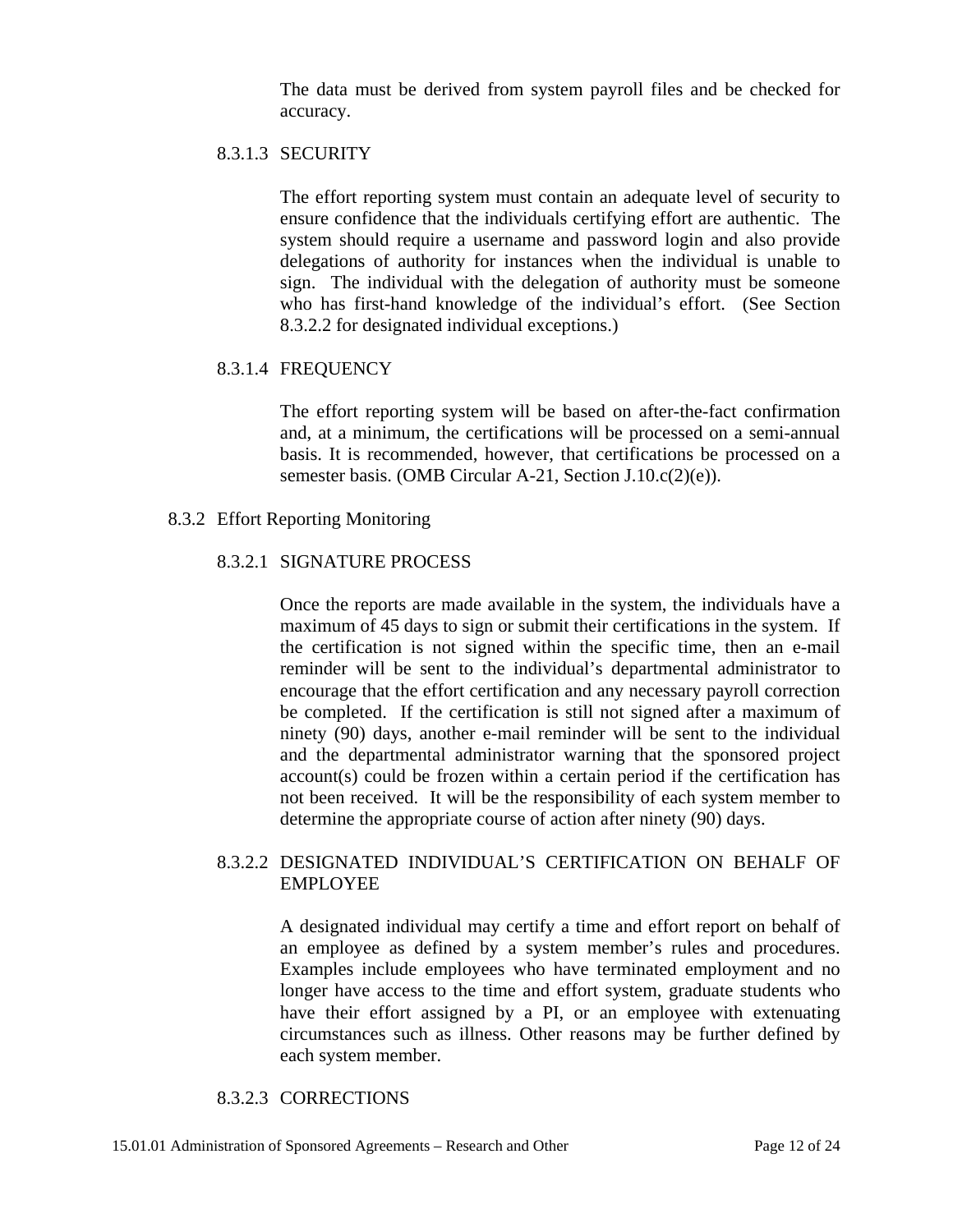The data must be derived from system payroll files and be checked for accuracy.

#### 8.3.1.3 SECURITY

The effort reporting system must contain an adequate level of security to ensure confidence that the individuals certifying effort are authentic. The system should require a username and password login and also provide delegations of authority for instances when the individual is unable to sign. The individual with the delegation of authority must be someone who has first-hand knowledge of the individual's effort. (See Section 8.3.2.2 for designated individual exceptions.)

#### 8.3.1.4 FREQUENCY

The effort reporting system will be based on after-the-fact confirmation and, at a minimum, the certifications will be processed on a semi-annual basis. It is recommended, however, that certifications be processed on a semester basis. (OMB Circular A-21, Section J.10.c(2)(e)).

#### 8.3.2 Effort Reporting Monitoring

#### 8.3.2.1 SIGNATURE PROCESS

Once the reports are made available in the system, the individuals have a maximum of 45 days to sign or submit their certifications in the system. If the certification is not signed within the specific time, then an e-mail reminder will be sent to the individual's departmental administrator to encourage that the effort certification and any necessary payroll correction be completed. If the certification is still not signed after a maximum of ninety (90) days, another e-mail reminder will be sent to the individual and the departmental administrator warning that the sponsored project account(s) could be frozen within a certain period if the certification has not been received. It will be the responsibility of each system member to determine the appropriate course of action after ninety (90) days.

## 8.3.2.2 DESIGNATED INDIVIDUAL'S CERTIFICATION ON BEHALF OF EMPLOYEE

A designated individual may certify a time and effort report on behalf of an employee as defined by a system member's rules and procedures. Examples include employees who have terminated employment and no longer have access to the time and effort system, graduate students who have their effort assigned by a PI, or an employee with extenuating circumstances such as illness. Other reasons may be further defined by each system member.

#### 8.3.2.3 CORRECTIONS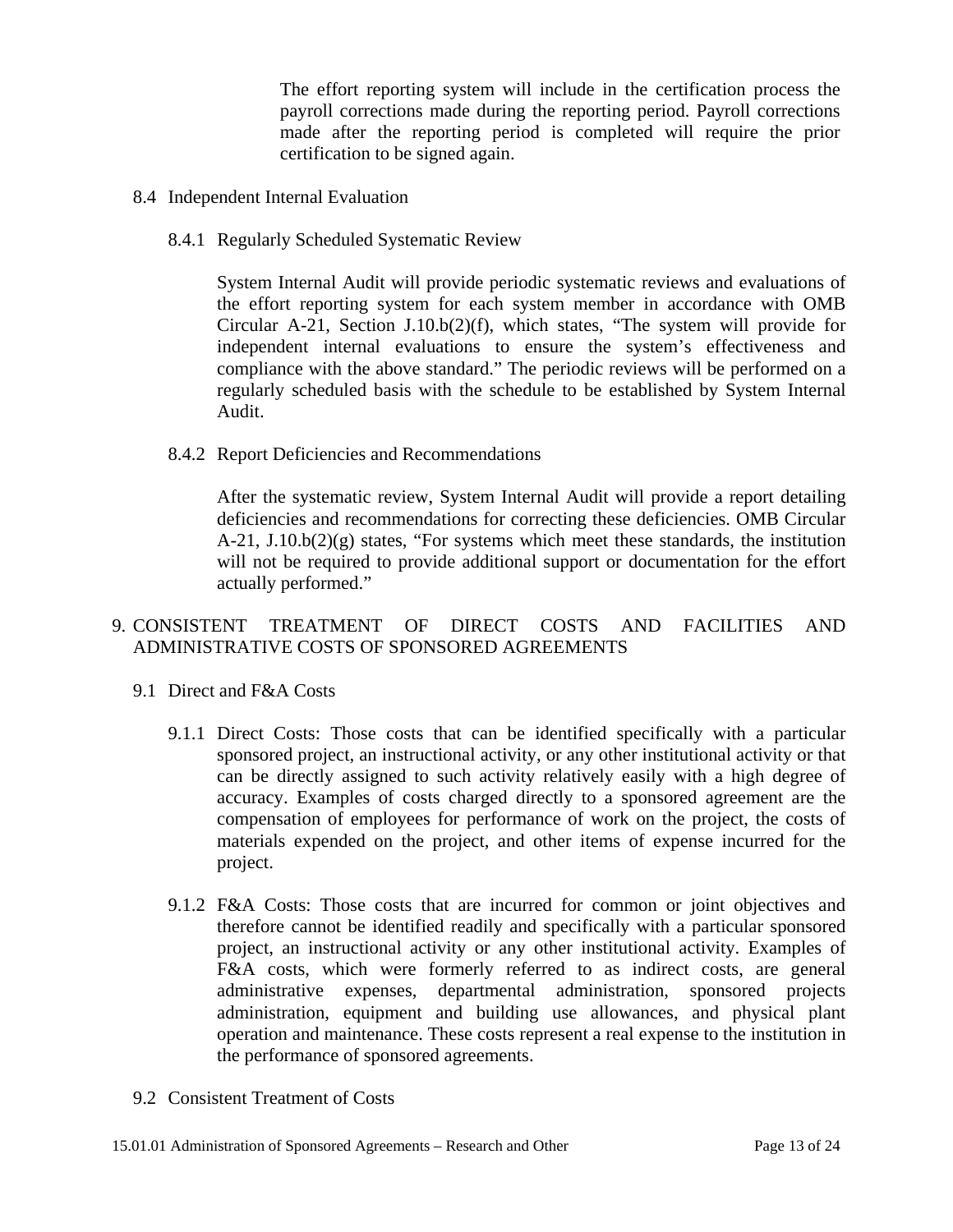The effort reporting system will include in the certification process the payroll corrections made during the reporting period. Payroll corrections made after the reporting period is completed will require the prior certification to be signed again.

- 8.4 Independent Internal Evaluation
	- 8.4.1 Regularly Scheduled Systematic Review

 System Internal Audit will provide periodic systematic reviews and evaluations of the effort reporting system for each system member in accordance with OMB Circular A-21, Section J.10.b(2)(f), which states, "The system will provide for independent internal evaluations to ensure the system's effectiveness and compliance with the above standard." The periodic reviews will be performed on a regularly scheduled basis with the schedule to be established by System Internal Audit.

8.4.2 Report Deficiencies and Recommendations

 After the systematic review, System Internal Audit will provide a report detailing deficiencies and recommendations for correcting these deficiencies. OMB Circular  $A-21$ ,  $J.10.b(2)(g)$  states, "For systems which meet these standards, the institution will not be required to provide additional support or documentation for the effort actually performed."

# 9. CONSISTENT TREATMENT OF DIRECT COSTS AND FACILITIES AND ADMINISTRATIVE COSTS OF SPONSORED AGREEMENTS

- 9.1 Direct and F&A Costs
	- 9.1.1 Direct Costs: Those costs that can be identified specifically with a particular sponsored project, an instructional activity, or any other institutional activity or that can be directly assigned to such activity relatively easily with a high degree of accuracy. Examples of costs charged directly to a sponsored agreement are the compensation of employees for performance of work on the project, the costs of materials expended on the project, and other items of expense incurred for the project.
	- 9.1.2 F&A Costs: Those costs that are incurred for common or joint objectives and therefore cannot be identified readily and specifically with a particular sponsored project, an instructional activity or any other institutional activity. Examples of F&A costs, which were formerly referred to as indirect costs, are general administrative expenses, departmental administration, sponsored projects administration, equipment and building use allowances, and physical plant operation and maintenance. These costs represent a real expense to the institution in the performance of sponsored agreements.
- 9.2 Consistent Treatment of Costs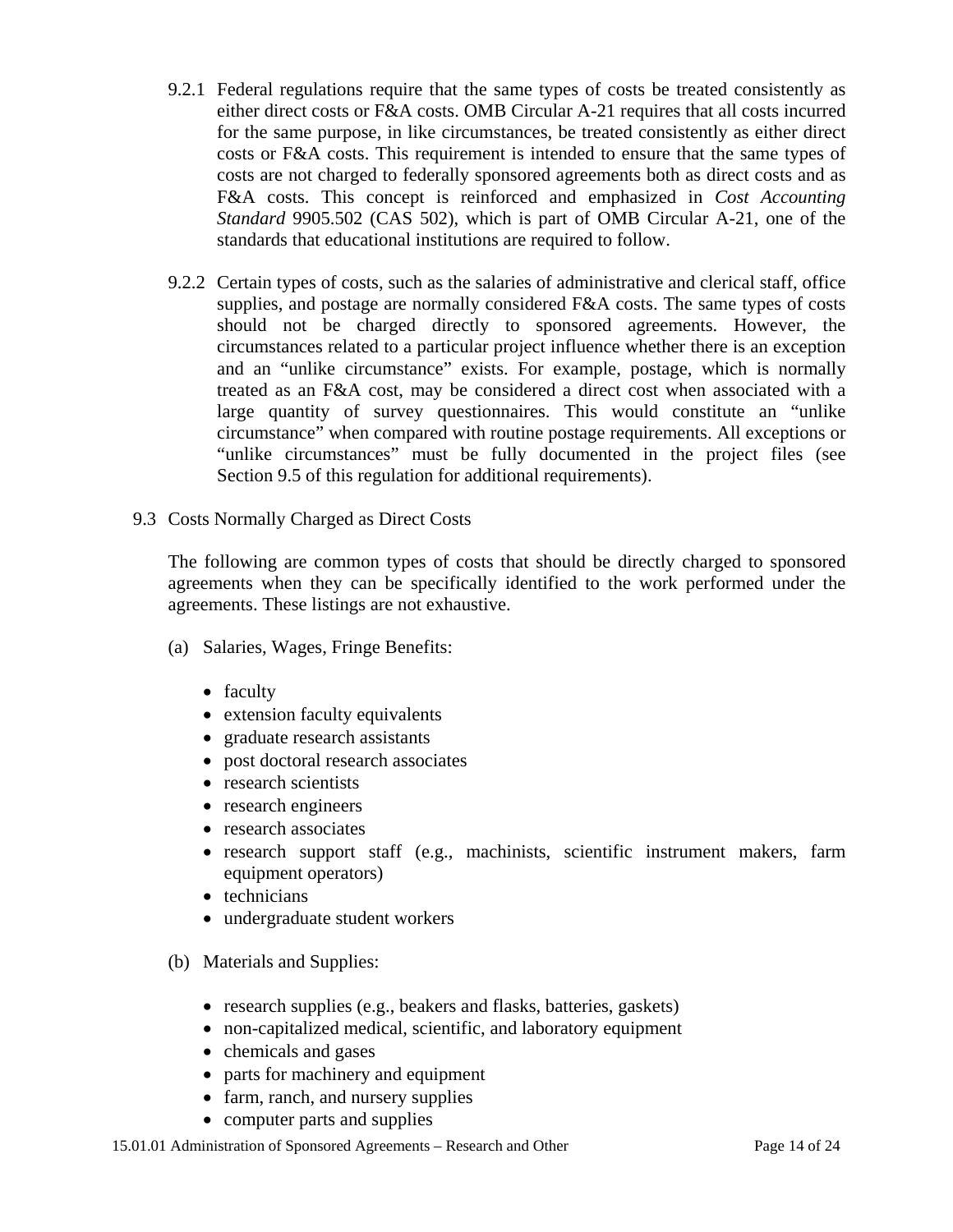- 9.2.1 Federal regulations require that the same types of costs be treated consistently as either direct costs or F&A costs. OMB Circular A-21 requires that all costs incurred for the same purpose, in like circumstances, be treated consistently as either direct costs or F&A costs. This requirement is intended to ensure that the same types of costs are not charged to federally sponsored agreements both as direct costs and as F&A costs. This concept is reinforced and emphasized in *Cost Accounting Standard* 9905.502 (CAS 502), which is part of OMB Circular A-21, one of the standards that educational institutions are required to follow.
- 9.2.2 Certain types of costs, such as the salaries of administrative and clerical staff, office supplies, and postage are normally considered F&A costs. The same types of costs should not be charged directly to sponsored agreements. However, the circumstances related to a particular project influence whether there is an exception and an "unlike circumstance" exists. For example, postage, which is normally treated as an F&A cost, may be considered a direct cost when associated with a large quantity of survey questionnaires. This would constitute an "unlike circumstance" when compared with routine postage requirements. All exceptions or "unlike circumstances" must be fully documented in the project files (see Section 9.5 of this regulation for additional requirements).
- 9.3 Costs Normally Charged as Direct Costs

The following are common types of costs that should be directly charged to sponsored agreements when they can be specifically identified to the work performed under the agreements. These listings are not exhaustive.

- (a) Salaries, Wages, Fringe Benefits:
	- faculty
	- extension faculty equivalents
	- graduate research assistants
	- post doctoral research associates
	- research scientists
	- research engineers
	- research associates
	- research support staff (e.g., machinists, scientific instrument makers, farm equipment operators)
	- technicians
	- undergraduate student workers
- (b) Materials and Supplies:
	- research supplies (e.g., beakers and flasks, batteries, gaskets)
	- non-capitalized medical, scientific, and laboratory equipment
	- chemicals and gases
	- parts for machinery and equipment
	- farm, ranch, and nursery supplies
	- computer parts and supplies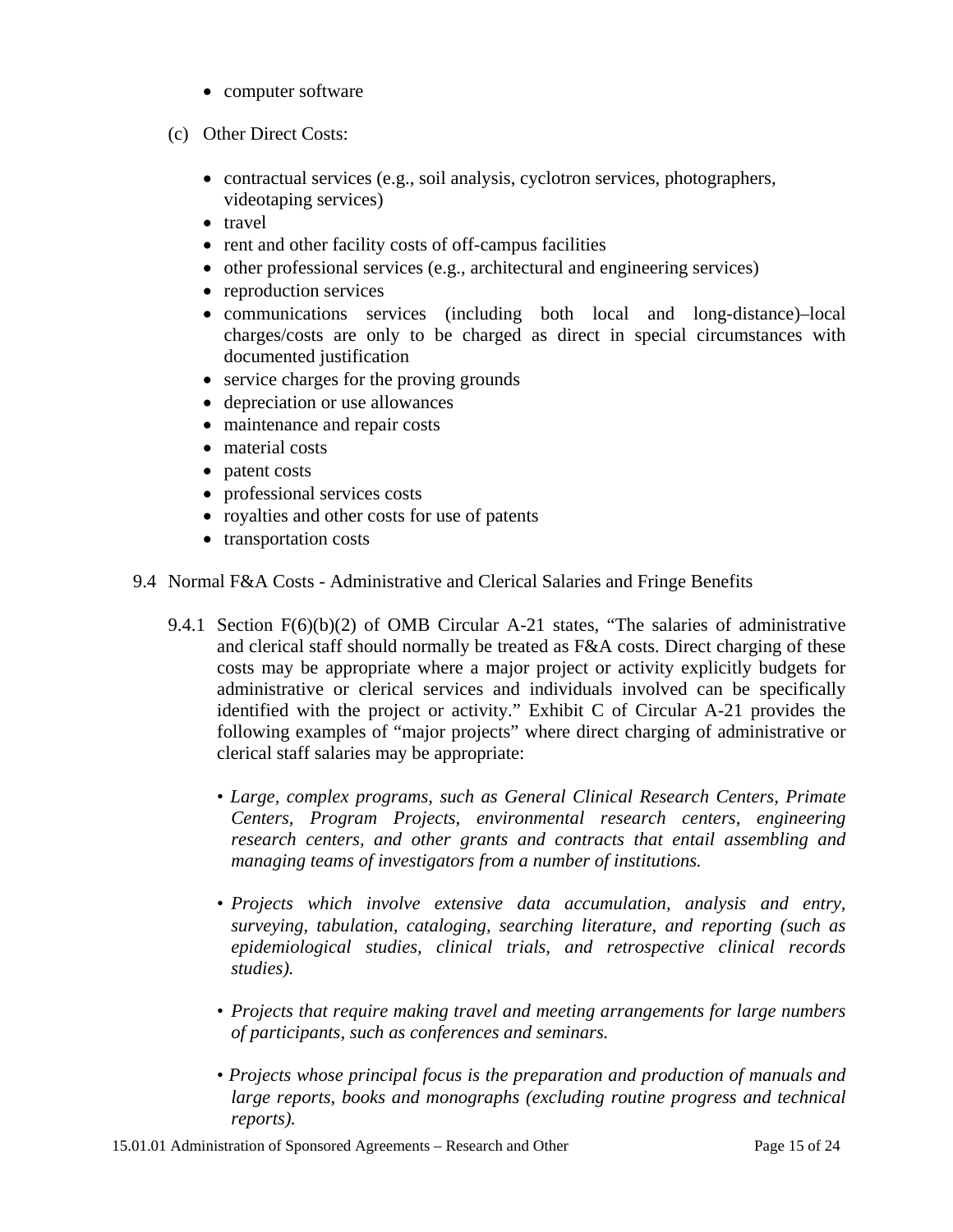- computer software
- (c) Other Direct Costs:
	- contractual services (e.g., soil analysis, cyclotron services, photographers, videotaping services)
	- travel
	- rent and other facility costs of off-campus facilities
	- other professional services (e.g., architectural and engineering services)
	- reproduction services
	- communications services (including both local and long-distance)–local charges/costs are only to be charged as direct in special circumstances with documented justification
	- service charges for the proving grounds
	- depreciation or use allowances
	- maintenance and repair costs
	- material costs
	- patent costs
	- professional services costs
	- royalties and other costs for use of patents
	- transportation costs
- 9.4 Normal F&A Costs Administrative and Clerical Salaries and Fringe Benefits
	- 9.4.1 Section F(6)(b)(2) of OMB Circular A-21 states, "The salaries of administrative and clerical staff should normally be treated as F&A costs. Direct charging of these costs may be appropriate where a major project or activity explicitly budgets for administrative or clerical services and individuals involved can be specifically identified with the project or activity." Exhibit C of Circular A-21 provides the following examples of "major projects" where direct charging of administrative or clerical staff salaries may be appropriate:
		- *Large, complex programs, such as General Clinical Research Centers, Primate Centers, Program Projects, environmental research centers, engineering research centers, and other grants and contracts that entail assembling and managing teams of investigators from a number of institutions.*
		- • *Projects which involve extensive data accumulation, analysis and entry, surveying, tabulation, cataloging, searching literature, and reporting (such as epidemiological studies, clinical trials, and retrospective clinical records studies).*
		- *Projects that require making travel and meeting arrangements for large numbers of participants, such as conferences and seminars.*
		- *Projects whose principal focus is the preparation and production of manuals and*  large reports, books and monographs (excluding routine progress and technical *reports).*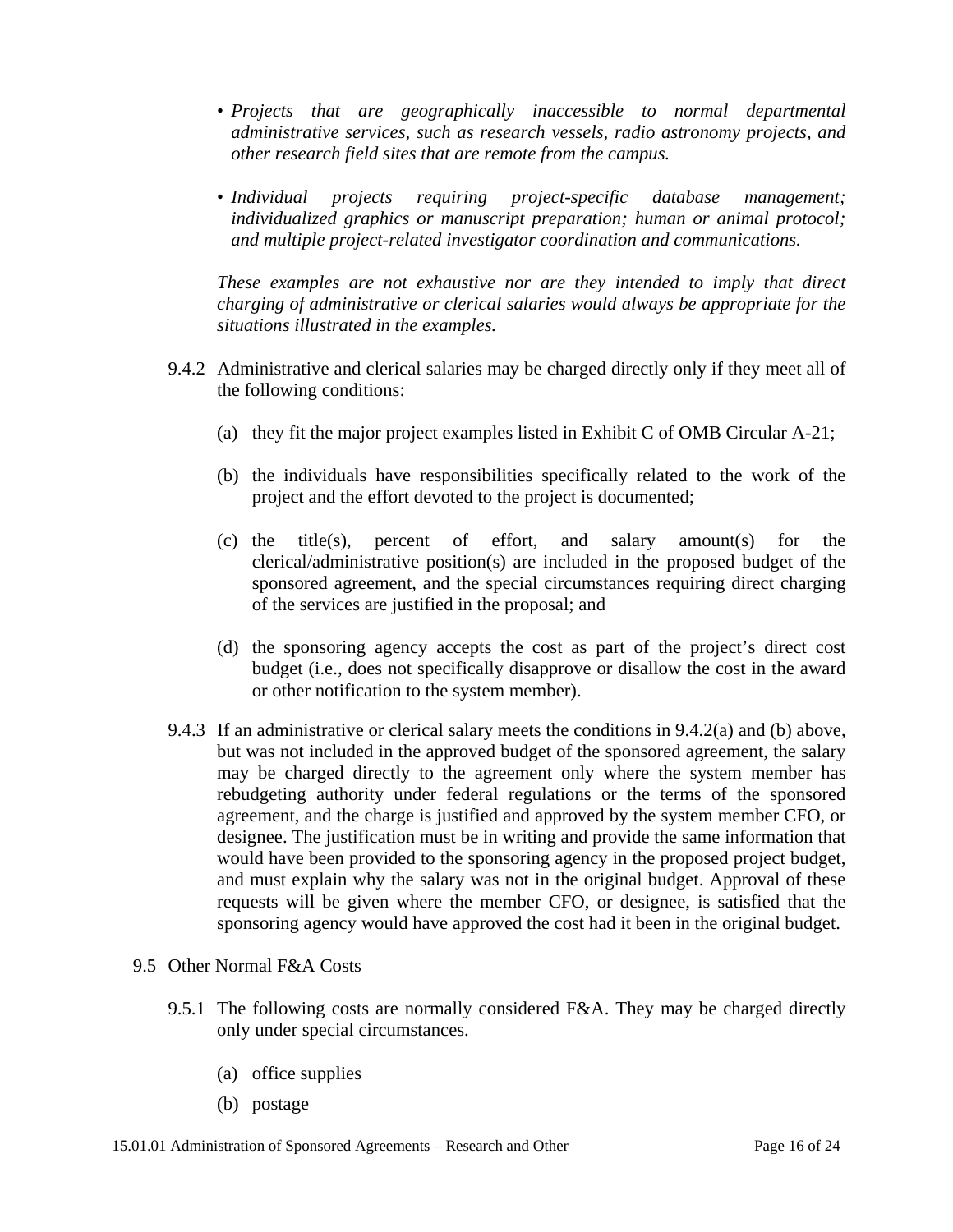- *Projects that are geographically inaccessible to normal departmental administrative services, such as research vessels, radio astronomy projects, and other research field sites that are remote from the campus.*
- • *Individual projects requiring project-specific database management; individualized graphics or manuscript preparation; human or animal protocol; and multiple project-related investigator coordination and communications.*

*These examples are not exhaustive nor are they intended to imply that direct charging of administrative or clerical salaries would always be appropriate for the situations illustrated in the examples.* 

- 9.4.2 Administrative and clerical salaries may be charged directly only if they meet all of the following conditions:
	- (a) they fit the major project examples listed in Exhibit C of OMB Circular A-21;
	- (b) the individuals have responsibilities specifically related to the work of the project and the effort devoted to the project is documented;
	- (c) the title(s), percent of effort, and salary amount(s) for the clerical/administrative position(s) are included in the proposed budget of the sponsored agreement, and the special circumstances requiring direct charging of the services are justified in the proposal; and
	- (d) the sponsoring agency accepts the cost as part of the project's direct cost budget (i.e., does not specifically disapprove or disallow the cost in the award or other notification to the system member).
- 9.4.3 If an administrative or clerical salary meets the conditions in 9.4.2(a) and (b) above, but was not included in the approved budget of the sponsored agreement, the salary may be charged directly to the agreement only where the system member has rebudgeting authority under federal regulations or the terms of the sponsored agreement, and the charge is justified and approved by the system member CFO, or designee. The justification must be in writing and provide the same information that would have been provided to the sponsoring agency in the proposed project budget, and must explain why the salary was not in the original budget. Approval of these requests will be given where the member CFO, or designee, is satisfied that the sponsoring agency would have approved the cost had it been in the original budget.
- 9.5 Other Normal F&A Costs
	- 9.5.1 The following costs are normally considered F&A. They may be charged directly only under special circumstances.
		- (a) office supplies
		- (b) postage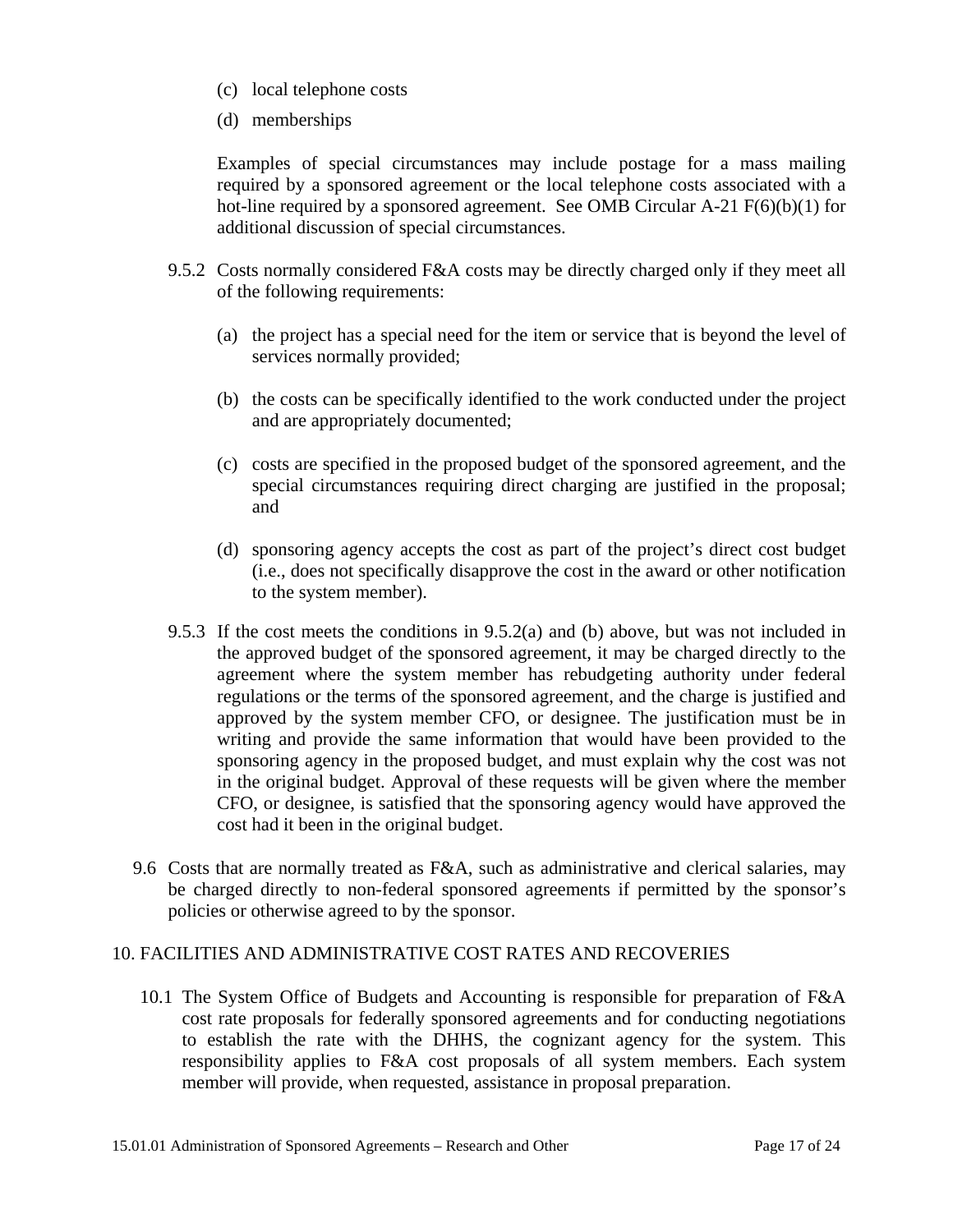- (c) local telephone costs
- (d) memberships

Examples of special circumstances may include postage for a mass mailing required by a sponsored agreement or the local telephone costs associated with a hot-line required by a sponsored agreement. See OMB Circular  $A-21 F(6)(b)(1)$  for additional discussion of special circumstances.

- 9.5.2 Costs normally considered F&A costs may be directly charged only if they meet all of the following requirements:
	- (a) the project has a special need for the item or service that is beyond the level of services normally provided;
	- (b) the costs can be specifically identified to the work conducted under the project and are appropriately documented;
	- (c) costs are specified in the proposed budget of the sponsored agreement, and the special circumstances requiring direct charging are justified in the proposal; and
	- (d) sponsoring agency accepts the cost as part of the project's direct cost budget (i.e., does not specifically disapprove the cost in the award or other notification to the system member).
- 9.5.3 If the cost meets the conditions in 9.5.2(a) and (b) above, but was not included in the approved budget of the sponsored agreement, it may be charged directly to the agreement where the system member has rebudgeting authority under federal regulations or the terms of the sponsored agreement, and the charge is justified and approved by the system member CFO, or designee. The justification must be in writing and provide the same information that would have been provided to the sponsoring agency in the proposed budget, and must explain why the cost was not in the original budget. Approval of these requests will be given where the member CFO, or designee, is satisfied that the sponsoring agency would have approved the cost had it been in the original budget.
- 9.6 Costs that are normally treated as F&A, such as administrative and clerical salaries, may be charged directly to non-federal sponsored agreements if permitted by the sponsor's policies or otherwise agreed to by the sponsor.

#### 10. FACILITIES AND ADMINISTRATIVE COST RATES AND RECOVERIES

10.1 The System Office of Budgets and Accounting is responsible for preparation of F&A cost rate proposals for federally sponsored agreements and for conducting negotiations to establish the rate with the DHHS, the cognizant agency for the system. This responsibility applies to F&A cost proposals of all system members. Each system member will provide, when requested, assistance in proposal preparation.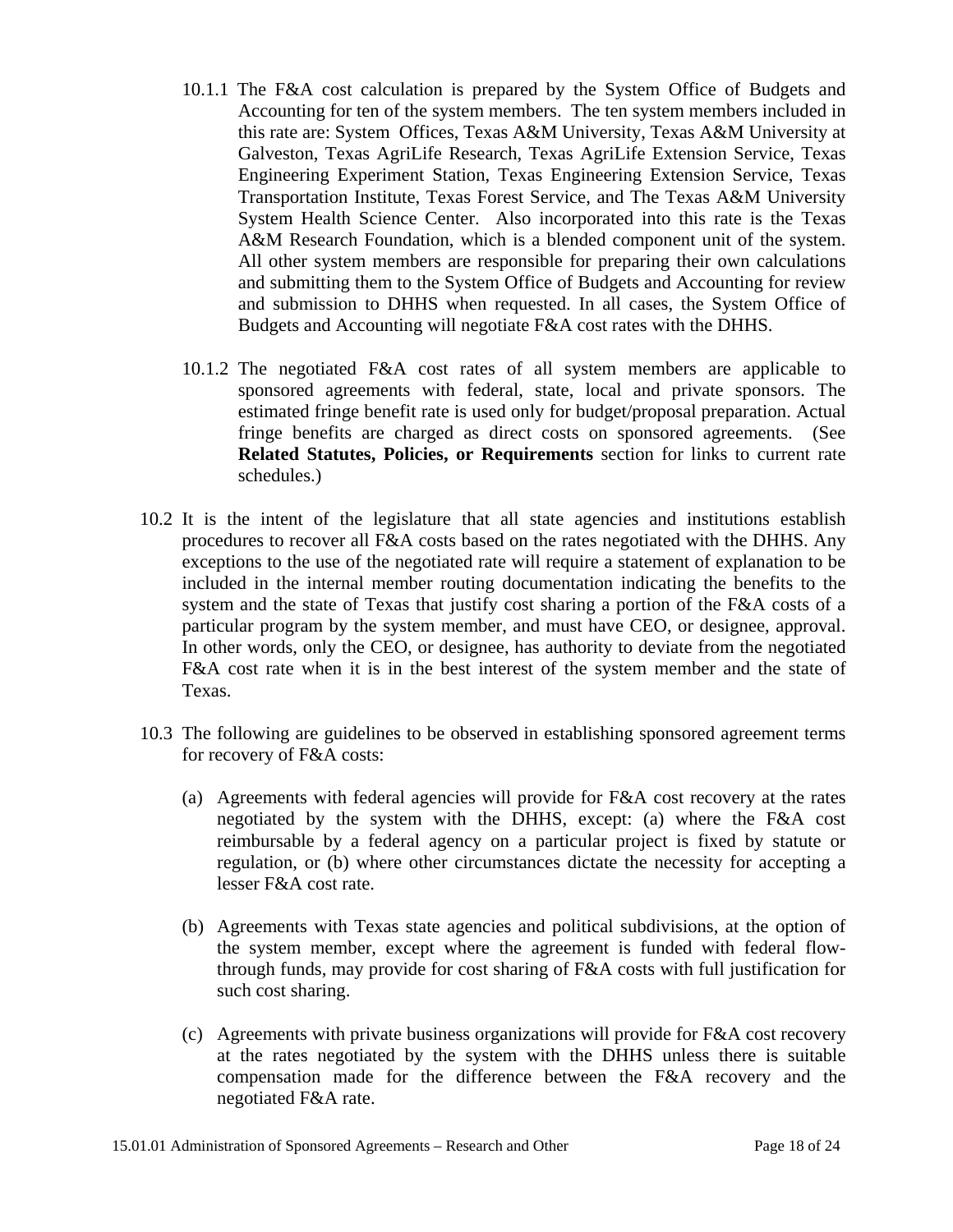- 10.1.1 The F&A cost calculation is prepared by the System Office of Budgets and Accounting for ten of the system members. The ten system members included in this rate are: System Offices, Texas A&M University, Texas A&M University at Galveston, Texas AgriLife Research, Texas AgriLife Extension Service, Texas Engineering Experiment Station, Texas Engineering Extension Service, Texas Transportation Institute, Texas Forest Service, and The Texas A&M University System Health Science Center. Also incorporated into this rate is the Texas A&M Research Foundation, which is a blended component unit of the system. All other system members are responsible for preparing their own calculations and submitting them to the System Office of Budgets and Accounting for review and submission to DHHS when requested. In all cases, the System Office of Budgets and Accounting will negotiate F&A cost rates with the DHHS.
- 10.1.2 The negotiated F&A cost rates of all system members are applicable to sponsored agreements with federal, state, local and private sponsors. The estimated fringe benefit rate is used only for budget/proposal preparation. Actual fringe benefits are charged as direct costs on sponsored agreements. (See **Related Statutes, Policies, or Requirements** section for links to current rate schedules.)
- 10.2 It is the intent of the legislature that all state agencies and institutions establish procedures to recover all F&A costs based on the rates negotiated with the DHHS. Any exceptions to the use of the negotiated rate will require a statement of explanation to be included in the internal member routing documentation indicating the benefits to the system and the state of Texas that justify cost sharing a portion of the F&A costs of a particular program by the system member, and must have CEO, or designee, approval. In other words, only the CEO, or designee, has authority to deviate from the negotiated F&A cost rate when it is in the best interest of the system member and the state of Texas.
- 10.3 The following are guidelines to be observed in establishing sponsored agreement terms for recovery of F&A costs:
	- (a) Agreements with federal agencies will provide for F&A cost recovery at the rates negotiated by the system with the DHHS, except: (a) where the F&A cost reimbursable by a federal agency on a particular project is fixed by statute or regulation, or (b) where other circumstances dictate the necessity for accepting a lesser F&A cost rate.
	- (b) Agreements with Texas state agencies and political subdivisions, at the option of the system member, except where the agreement is funded with federal flowthrough funds, may provide for cost sharing of F&A costs with full justification for such cost sharing.
	- (c) Agreements with private business organizations will provide for F&A cost recovery at the rates negotiated by the system with the DHHS unless there is suitable compensation made for the difference between the F&A recovery and the negotiated F&A rate.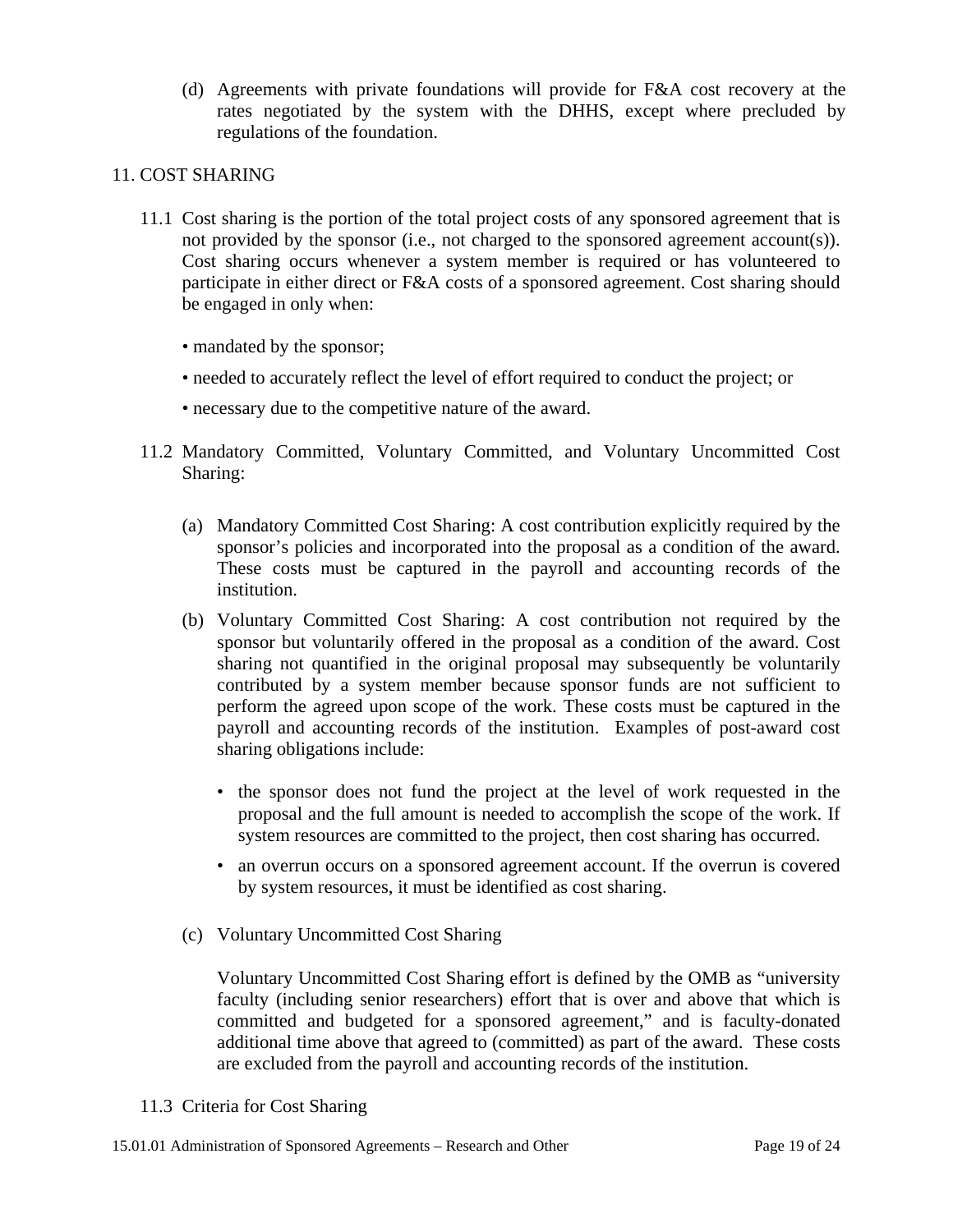(d) Agreements with private foundations will provide for F&A cost recovery at the rates negotiated by the system with the DHHS, except where precluded by regulations of the foundation.

## 11. COST SHARING

- 11.1 Cost sharing is the portion of the total project costs of any sponsored agreement that is not provided by the sponsor (i.e., not charged to the sponsored agreement account(s)). Cost sharing occurs whenever a system member is required or has volunteered to participate in either direct or F&A costs of a sponsored agreement. Cost sharing should be engaged in only when:
	- mandated by the sponsor;
	- needed to accurately reflect the level of effort required to conduct the project; or
	- necessary due to the competitive nature of the award.
- 11.2 Mandatory Committed, Voluntary Committed, and Voluntary Uncommitted Cost Sharing:
	- (a) Mandatory Committed Cost Sharing: A cost contribution explicitly required by the sponsor's policies and incorporated into the proposal as a condition of the award. These costs must be captured in the payroll and accounting records of the institution.
	- (b) Voluntary Committed Cost Sharing: A cost contribution not required by the sponsor but voluntarily offered in the proposal as a condition of the award. Cost sharing not quantified in the original proposal may subsequently be voluntarily contributed by a system member because sponsor funds are not sufficient to perform the agreed upon scope of the work. These costs must be captured in the payroll and accounting records of the institution. Examples of post-award cost sharing obligations include:
		- the sponsor does not fund the project at the level of work requested in the proposal and the full amount is needed to accomplish the scope of the work. If system resources are committed to the project, then cost sharing has occurred.
		- an overrun occurs on a sponsored agreement account. If the overrun is covered by system resources, it must be identified as cost sharing.
	- (c) Voluntary Uncommitted Cost Sharing

 Voluntary Uncommitted Cost Sharing effort is defined by the OMB as "university faculty (including senior researchers) effort that is over and above that which is committed and budgeted for a sponsored agreement," and is faculty-donated additional time above that agreed to (committed) as part of the award. These costs are excluded from the payroll and accounting records of the institution.

11.3 Criteria for Cost Sharing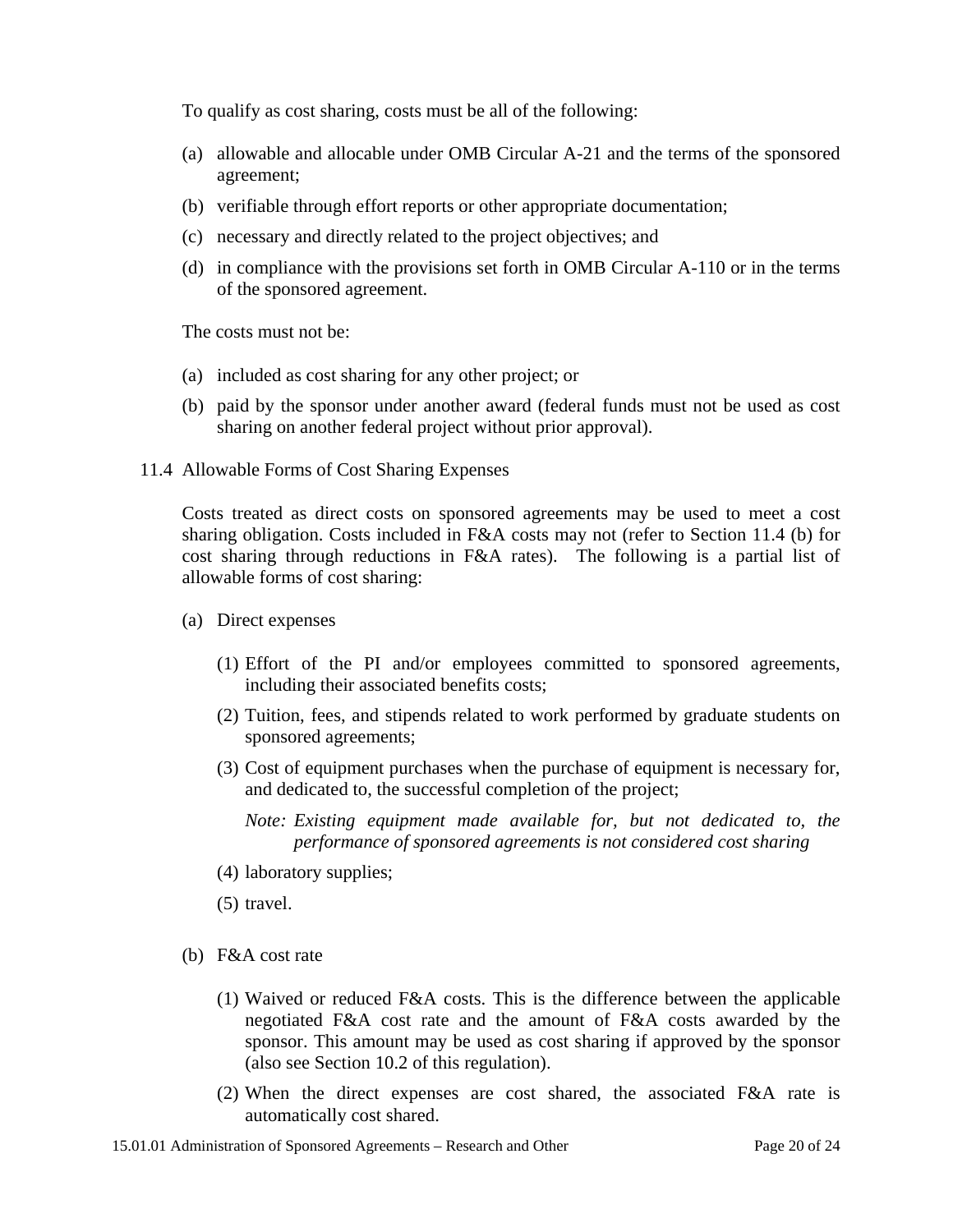To qualify as cost sharing, costs must be all of the following:

- (a) allowable and allocable under OMB Circular A-21 and the terms of the sponsored agreement;
- (b) verifiable through effort reports or other appropriate documentation;
- (c) necessary and directly related to the project objectives; and
- (d) in compliance with the provisions set forth in OMB Circular A-110 or in the terms of the sponsored agreement.

The costs must not be:

- (a) included as cost sharing for any other project; or
- (b) paid by the sponsor under another award (federal funds must not be used as cost sharing on another federal project without prior approval).
- 11.4 Allowable Forms of Cost Sharing Expenses

Costs treated as direct costs on sponsored agreements may be used to meet a cost sharing obligation. Costs included in F&A costs may not (refer to Section 11.4 (b) for cost sharing through reductions in F&A rates). The following is a partial list of allowable forms of cost sharing:

- (a) Direct expenses
	- (1) Effort of the PI and/or employees committed to sponsored agreements, including their associated benefits costs;
	- (2) Tuition, fees, and stipends related to work performed by graduate students on sponsored agreements;
	- (3) Cost of equipment purchases when the purchase of equipment is necessary for, and dedicated to, the successful completion of the project;
		- *Note: Existing equipment made available for, but not dedicated to, the performance of sponsored agreements is not considered cost sharing*
	- (4) laboratory supplies;
	- (5) travel.
- (b) F&A cost rate
	- (1) Waived or reduced F&A costs. This is the difference between the applicable negotiated F&A cost rate and the amount of F&A costs awarded by the sponsor. This amount may be used as cost sharing if approved by the sponsor (also see Section 10.2 of this regulation).
	- (2) When the direct expenses are cost shared, the associated F&A rate is automatically cost shared.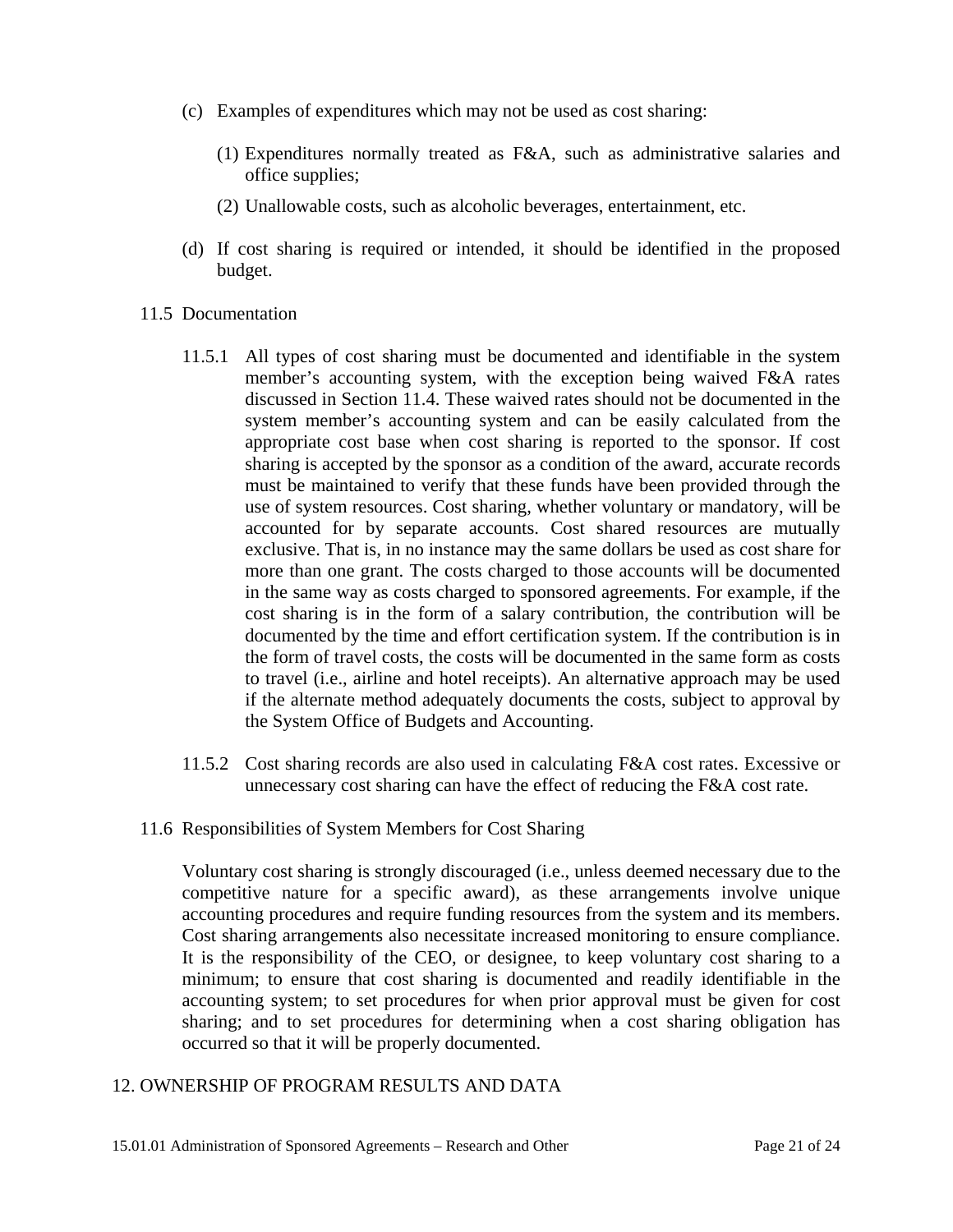- (c) Examples of expenditures which may not be used as cost sharing:
	- (1) Expenditures normally treated as F&A, such as administrative salaries and office supplies;
	- (2) Unallowable costs, such as alcoholic beverages, entertainment, etc.
- (d) If cost sharing is required or intended, it should be identified in the proposed budget.
- 11.5 Documentation
	- 11.5.1 All types of cost sharing must be documented and identifiable in the system member's accounting system, with the exception being waived F&A rates discussed in Section 11.4. These waived rates should not be documented in the system member's accounting system and can be easily calculated from the appropriate cost base when cost sharing is reported to the sponsor. If cost sharing is accepted by the sponsor as a condition of the award, accurate records must be maintained to verify that these funds have been provided through the use of system resources. Cost sharing, whether voluntary or mandatory, will be accounted for by separate accounts. Cost shared resources are mutually exclusive. That is, in no instance may the same dollars be used as cost share for more than one grant. The costs charged to those accounts will be documented in the same way as costs charged to sponsored agreements. For example, if the cost sharing is in the form of a salary contribution, the contribution will be documented by the time and effort certification system. If the contribution is in the form of travel costs, the costs will be documented in the same form as costs to travel (i.e., airline and hotel receipts). An alternative approach may be used if the alternate method adequately documents the costs, subject to approval by the System Office of Budgets and Accounting.
	- 11.5.2 Cost sharing records are also used in calculating F&A cost rates. Excessive or unnecessary cost sharing can have the effect of reducing the F&A cost rate.
- 11.6 Responsibilities of System Members for Cost Sharing

Voluntary cost sharing is strongly discouraged (i.e., unless deemed necessary due to the competitive nature for a specific award), as these arrangements involve unique accounting procedures and require funding resources from the system and its members. Cost sharing arrangements also necessitate increased monitoring to ensure compliance. It is the responsibility of the CEO, or designee, to keep voluntary cost sharing to a minimum; to ensure that cost sharing is documented and readily identifiable in the accounting system; to set procedures for when prior approval must be given for cost sharing; and to set procedures for determining when a cost sharing obligation has occurred so that it will be properly documented.

#### 12. OWNERSHIP OF PROGRAM RESULTS AND DATA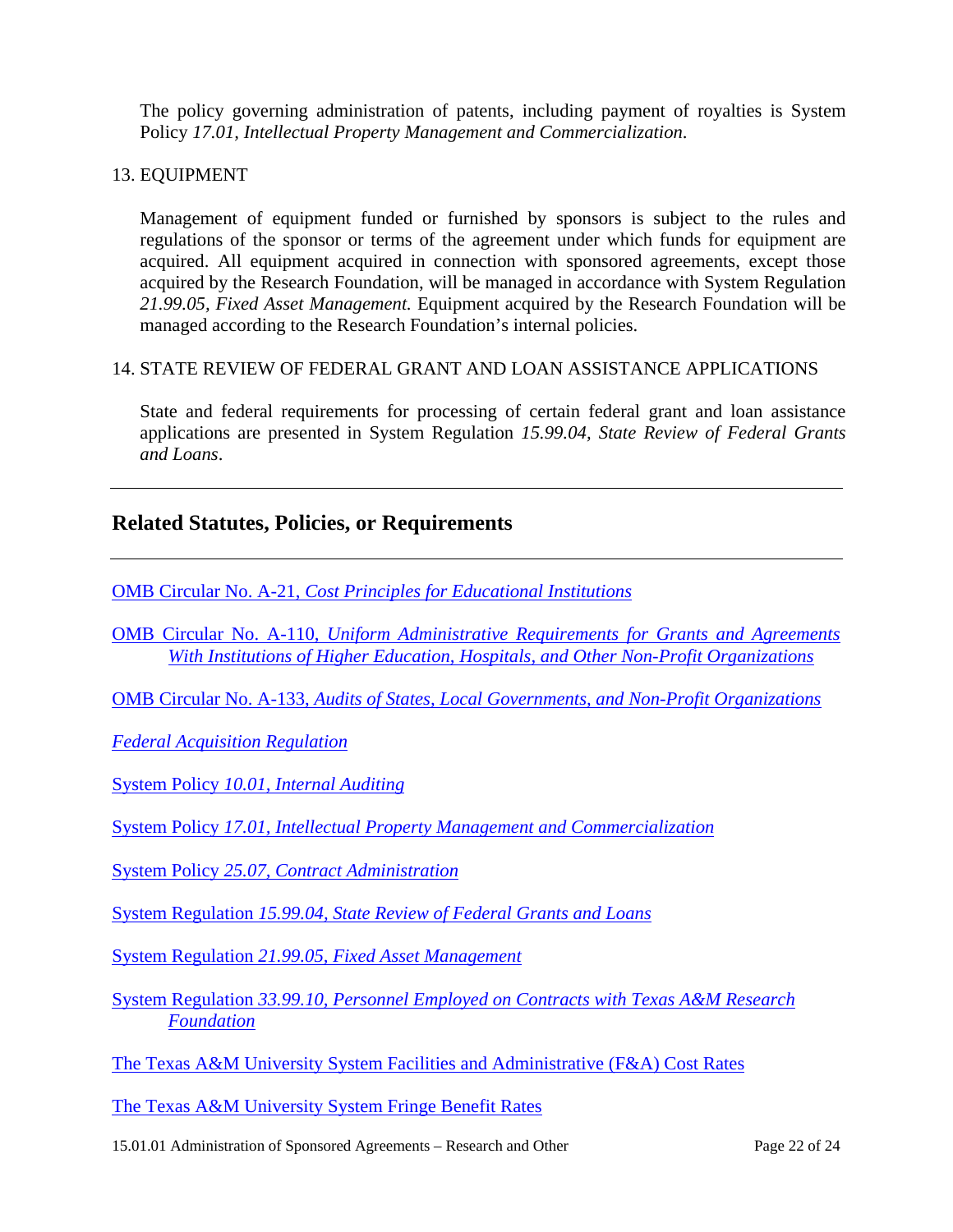The policy governing administration of patents, including payment of royalties is System Policy *17.01, Intellectual Property Management and Commercialization*.

#### 13. EQUIPMENT

Management of equipment funded or furnished by sponsors is subject to the rules and regulations of the sponsor or terms of the agreement under which funds for equipment are acquired. All equipment acquired in connection with sponsored agreements, except those acquired by the Research Foundation, will be managed in accordance with System Regulation *21.99.05, Fixed Asset Management.* Equipment acquired by the Research Foundation will be managed according to the Research Foundation's internal policies.

#### 14. STATE REVIEW OF FEDERAL GRANT AND LOAN ASSISTANCE APPLICATIONS

State and federal requirements for processing of certain federal grant and loan assistance applications are presented in System Regulation *15.99.04, State Review of Federal Grants and Loans*.

# **Related Statutes, Policies, or Requirements**

OMB Circular No. A-21, *[Cost Principles for Educational Institutions](http://www.whitehouse.gov/omb/circulars/a021/a21_2004.html)*

OMB Circular No. A-110, *[Uniform Administrative Requirements for Grants and Agreements](http://www.whitehouse.gov/omb/circulars/a110/a110.html) [With Institutions of Higher Education, Hospitals, and Other Non-Profit Organizations](http://www.whitehouse.gov/omb/circulars/a110/a110.html)*

OMB Circular No. A-133, *[Audits of States, Local Governments, and Non-Profit Organizations](http://www.whitehouse.gov/omb/circulars/a133/a133.html)*

*[Federal Acquisition Regulation](http://www.gsa.gov/Portal/gsa/ep/contentView.do?P=MVP&contentId=12999&contentType=GSA_BASIC&targetUrl=http%253A%252F%252Fwww.arnet.gov%252Ffar%252F)*

System Policy *[10.01, Internal Auditing](http://www.tamus.edu/offices/policy/policies/pdf/10-01.pdf)*

System Policy *[17.01, Intellectual Property Management and Commercialization](http://www.tamus.edu/offices/policy/policies/pdf/17-01.pdf)*

System Policy *[25.07, Contract Administration](http://www.tamus.edu/offices/policy/policies/pdf/25-07.pdf)*

System Regulation *[15.99.04, State Review of Federal Grants and Loans](http://www.tamus.edu/offices/policy/policies/pdf/15-99-04.pdf)*

System Regulation *[21.99.05, Fixed Asset Management](http://www.tamus.edu/offices/policy/policies/pdf/21-99-05.pdf)* 

System Regulation *[33.99.10, Personnel Employed on Contracts with Texas A&M Research](http://www.tamus.edu/offices/policy/policies/pdf/33-99-10.pdf)  [Foundation](http://www.tamus.edu/offices/policy/policies/pdf/33-99-10.pdf)*

[The Texas A&M University System Facilities and Administrative \(F&A\) Cost Rates](http://www.tamus.edu/offices/budgets-acct/documents/IDCfy2008.pdf)

[The Texas A&M University System Fringe Benefit Rates](http://www.tamus.edu/offices/budgets-acct/acct/IDC/fringe-benefits.htm)

15.01.01 Administration of Sponsored Agreements – Research and Other Page 22 of 24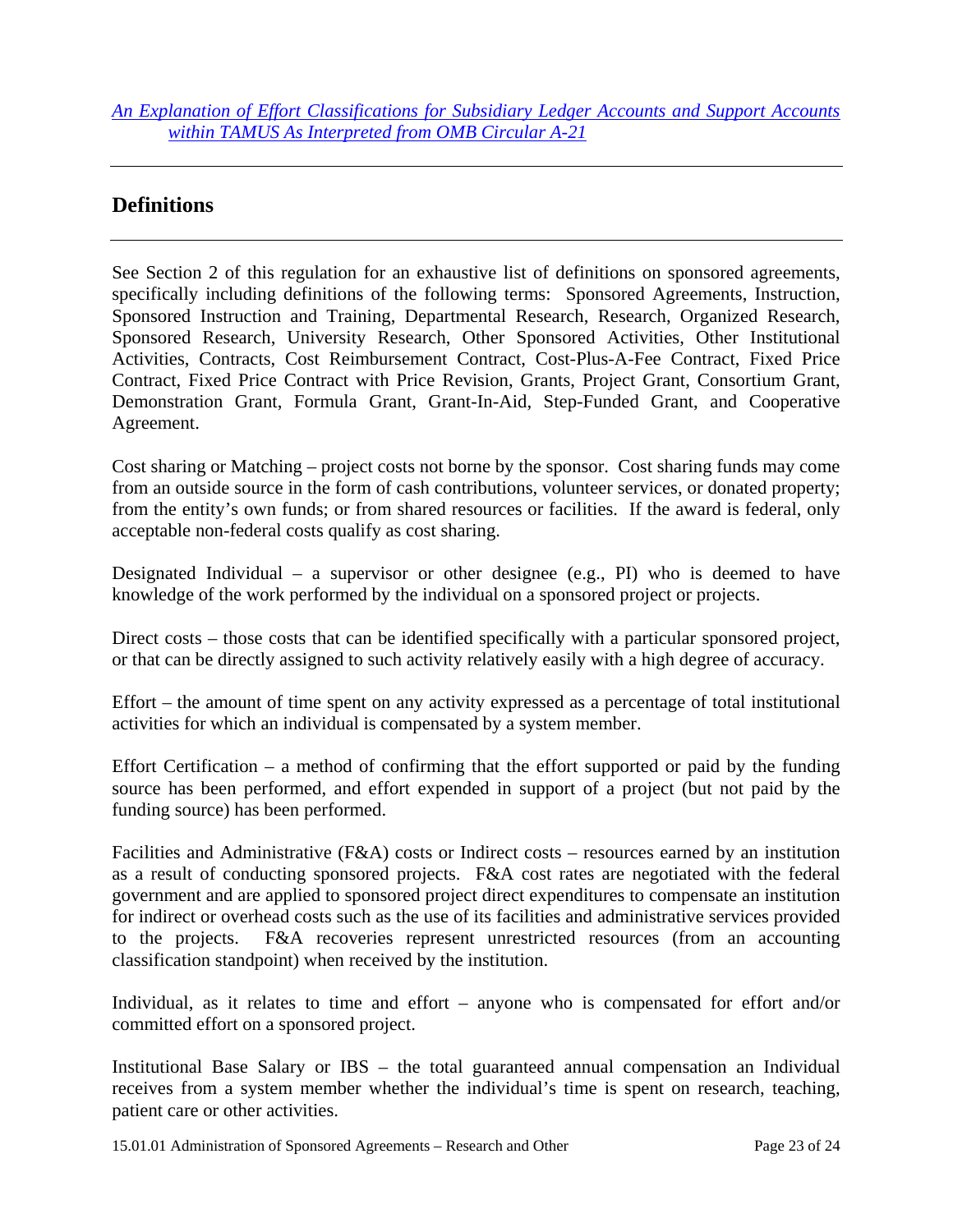*[An Explanation of Effort Classifications for Subsidiary Ledger Accounts and Support Accounts](http://www.tamus.edu/offices/budgets-acct/documents/Definition_of_Effort_Codes.pdf)  [within TAMUS As Interpreted from OMB Circular A-21](http://www.tamus.edu/offices/budgets-acct/documents/Definition_of_Effort_Codes.pdf)*

# **Definitions**

See Section 2 of this regulation for an exhaustive list of definitions on sponsored agreements, specifically including definitions of the following terms: Sponsored Agreements, Instruction, Sponsored Instruction and Training, Departmental Research, Research, Organized Research, Sponsored Research, University Research, Other Sponsored Activities, Other Institutional Activities, Contracts, Cost Reimbursement Contract, Cost-Plus-A-Fee Contract, Fixed Price Contract, Fixed Price Contract with Price Revision, Grants, Project Grant, Consortium Grant, Demonstration Grant, Formula Grant, Grant-In-Aid, Step-Funded Grant, and Cooperative Agreement.

Cost sharing or Matching – project costs not borne by the sponsor. Cost sharing funds may come from an outside source in the form of cash contributions, volunteer services, or donated property; from the entity's own funds; or from shared resources or facilities. If the award is federal, only acceptable non-federal costs qualify as cost sharing.

Designated Individual – a supervisor or other designee (e.g., PI) who is deemed to have knowledge of the work performed by the individual on a sponsored project or projects.

Direct costs – those costs that can be identified specifically with a particular sponsored project, or that can be directly assigned to such activity relatively easily with a high degree of accuracy.

Effort – the amount of time spent on any activity expressed as a percentage of total institutional activities for which an individual is compensated by a system member.

Effort Certification – a method of confirming that the effort supported or paid by the funding source has been performed, and effort expended in support of a project (but not paid by the funding source) has been performed.

Facilities and Administrative (F&A) costs or Indirect costs – resources earned by an institution as a result of conducting sponsored projects. F&A cost rates are negotiated with the federal government and are applied to sponsored project direct expenditures to compensate an institution for indirect or overhead costs such as the use of its facilities and administrative services provided to the projects. F&A recoveries represent unrestricted resources (from an accounting classification standpoint) when received by the institution.

Individual, as it relates to time and effort – anyone who is compensated for effort and/or committed effort on a sponsored project.

Institutional Base Salary or IBS – the total guaranteed annual compensation an Individual receives from a system member whether the individual's time is spent on research, teaching, patient care or other activities.